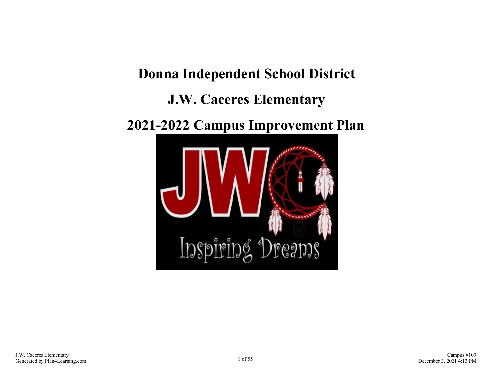# **Donna Independent School District J.W. Caceres Elementary**

## **2021-2022 Campus Improvement Plan**

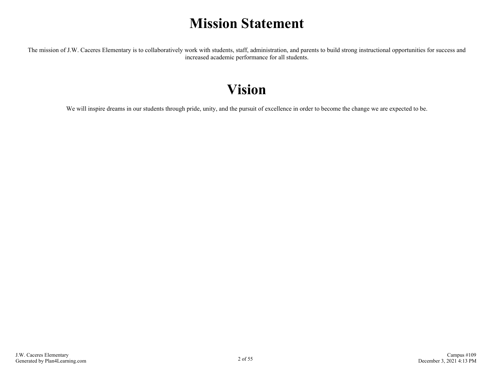### **Mission Statement**

The mission of J.W. Caceres Elementary is to collaboratively work with students, staff, administration, and parents to build strong instructional opportunities for success and increased academic performance for all students.

### **Vision**

We will inspire dreams in our students through pride, unity, and the pursuit of excellence in order to become the change we are expected to be.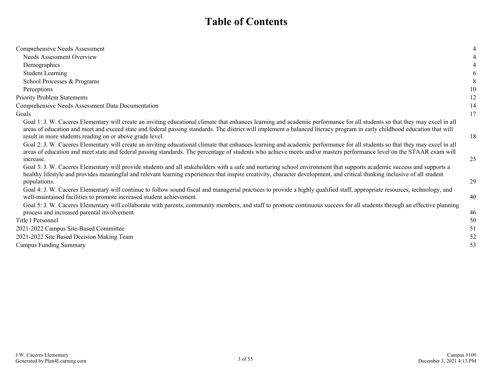### **Table of Contents**

| Comprehensive Needs Assessment                                                                                                                                                                                                                                                                                                                                                                                        | 4  |
|-----------------------------------------------------------------------------------------------------------------------------------------------------------------------------------------------------------------------------------------------------------------------------------------------------------------------------------------------------------------------------------------------------------------------|----|
| Needs Assessment Overview                                                                                                                                                                                                                                                                                                                                                                                             | 4  |
| Demographics                                                                                                                                                                                                                                                                                                                                                                                                          | 4  |
| <b>Student Learning</b>                                                                                                                                                                                                                                                                                                                                                                                               | 6  |
| School Processes & Programs                                                                                                                                                                                                                                                                                                                                                                                           |    |
| Perceptions                                                                                                                                                                                                                                                                                                                                                                                                           | 10 |
| <b>Priority Problem Statements</b>                                                                                                                                                                                                                                                                                                                                                                                    | 12 |
| Comprehensive Needs Assessment Data Documentation                                                                                                                                                                                                                                                                                                                                                                     | 14 |
| Goals                                                                                                                                                                                                                                                                                                                                                                                                                 | 17 |
| Goal 1: J. W. Caceres Elementary will create an inviting educational climate that enhances learning and academic performance for all students so that they may excel in all<br>areas of education and meet and exceed state and federal passing standards. The district will implement a balanced literacy program in early childhood education that will<br>result in more students reading on or above grade level. | 18 |
| Goal 2: J. W. Caceres Elementary will create an inviting educational climate that enhances learning and academic performance for all students so that they may excel in all<br>areas of education and meet state and federal passing standards. The percentage of students who achieve meets and/or masters performance level on the STAAR exam will<br>increase.                                                     | 25 |
| Goal 3: J. W. Caceres Elementary will provide students and all stakeholders with a safe and nurturing school environment that supports academic success and supports a<br>healthy lifestyle and provides meaningful and relevant learning experiences that inspire creativity, character development, and critical thinking inclusive of all student<br>populations.                                                  | 29 |
| Goal 4: J. W. Caceres Elementary will continue to follow sound fiscal and managerial practices to provide a highly qualified staff, appropriate resources, technology, and<br>well-maintained facilities to promote increased student achievement.                                                                                                                                                                    | 40 |
| Goal 5: J. W. Caceres Elementary will collaborate with parents, community members, and staff to promote continuous success for all students through an effective planning<br>process and increased parental involvement.                                                                                                                                                                                              | 46 |
| Title I Personnel                                                                                                                                                                                                                                                                                                                                                                                                     | 50 |
| 2021-2022 Campus Site-Based Committee                                                                                                                                                                                                                                                                                                                                                                                 | 51 |
| 2021-2022 Site Based Decision Making Team                                                                                                                                                                                                                                                                                                                                                                             | 52 |
| <b>Campus Funding Summary</b>                                                                                                                                                                                                                                                                                                                                                                                         | 53 |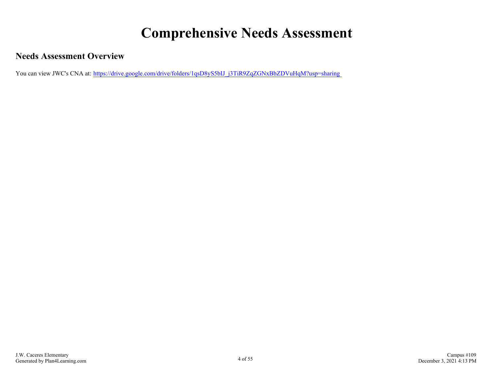# **Comprehensive Needs Assessment**

### <span id="page-3-0"></span>**Needs Assessment Overview**

You can view JWC's CNA at: https://drive.google.com/drive/folders/1qsD8yS5bIJ\_j3TiR9ZqZGNxBbZDVuHqM?usp=sharing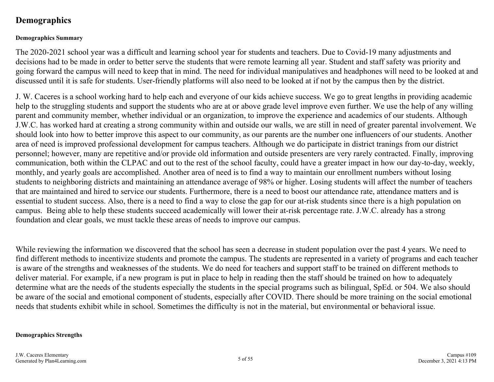### <span id="page-4-0"></span>**Demographics**

#### **Demographics Summary**

The 2020-2021 school year was a difficult and learning school year for students and teachers. Due to Covid-19 many adjustments and decisions had to be made in order to better serve the students that were remote learning all year. Student and staff safety was priority and going forward the campus will need to keep that in mind. The need for individual manipulatives and headphones will need to be looked at and discussed until it is safe for students. User-friendly platforms will also need to be looked at if not by the campus then by the district.

J. W. Caceres is a school working hard to help each and everyone of our kids achieve success. We go to great lengths in providing academic help to the struggling students and support the students who are at or above grade level improve even further. We use the help of any willing parent and community member, whether individual or an organization, to improve the experience and academics of our students. Although J.W.C. has worked hard at creating a strong community within and outside our walls, we are still in need of greater parental involvement. We should look into how to better improve this aspect to our community, as our parents are the number one influencers of our students. Another area of need is improved professional development for campus teachers. Although we do participate in district tranings from our district personnel; however, many are repetitive and/or provide old information and outside presenters are very rarely contracted. Finally, improving communication, both within the CLPAC and out to the rest of the school faculty, could have a greater impact in how our day-to-day, weekly, monthly, and yearly goals are accomplished. Another area of need is to find a way to maintain our enrollment numbers without losing students to neighboring districts and maintaining an attendance average of 98% or higher. Losing students will affect the number of teachers that are maintained and hired to service our students. Furthermore, there is a need to boost our attendance rate, attendance matters and is essential to student success. Also, there is a need to find a way to close the gap for our at-risk students since there is a high population on campus. Being able to help these students succeed academically will lower their at-risk percentage rate. J.W.C. already has a strong foundation and clear goals, we must tackle these areas of needs to improve our campus.

While reviewing the information we discovered that the school has seen a decrease in student population over the past 4 years. We need to find different methods to incentivize students and promote the campus. The students are represented in a variety of programs and each teacher is aware of the strengths and weaknesses of the students. We do need for teachers and support staff to be trained on different methods to deliver material. For example, if a new program is put in place to help in reading then the staff should be trained on how to adequately determine what are the needs of the students especially the students in the special programs such as bilingual, SpEd. or 504. We also should be aware of the social and emotional component of students, especially after COVID. There should be more training on the social emotional needs that students exhibit while in school. Sometimes the difficulty is not in the material, but environmental or behavioral issue.

#### **Demographics Strengths**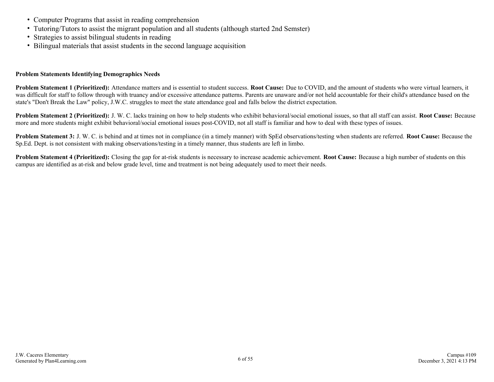- Computer Programs that assist in reading comprehension
- Tutoring/Tutors to assist the migrant population and all students (although started 2nd Semster)
- Strategies to assist bilingual students in reading
- Bilingual materials that assist students in the second language acquisition

#### **Problem Statements Identifying Demographics Needs**

**Problem Statement 1 (Prioritized):** Attendance matters and is essential to student success. **Root Cause:** Due to COVID, and the amount of students who were virtual learners, it was difficult for staff to follow through with truancy and/or excessive attendance patterns. Parents are unaware and/or not held accountable for their child's attendance based on the state's "Don't Break the Law" policy, J.W.C. struggles to meet the state attendance goal and falls below the district expectation.

**Problem Statement 2 (Prioritized):** J. W. C. lacks training on how to help students who exhibit behavioral/social emotional issues, so that all staff can assist. **Root Cause:** Because more and more students might exhibit behavioral/social emotional issues post-COVID, not all staff is familiar and how to deal with these types of issues.

**Problem Statement 3:** J. W. C. is behind and at times not in compliance (in a timely manner) with SpEd observations/testing when students are referred. **Root Cause:** Because the Sp.Ed. Dept. is not consistent with making observations/testing in a timely manner, thus students are left in limbo.

**Problem Statement 4 (Prioritized):** Closing the gap for at-risk students is necessary to increase academic achievement. **Root Cause:** Because a high number of students on this campus are identified as at-risk and below grade level, time and treatment is not being adequately used to meet their needs.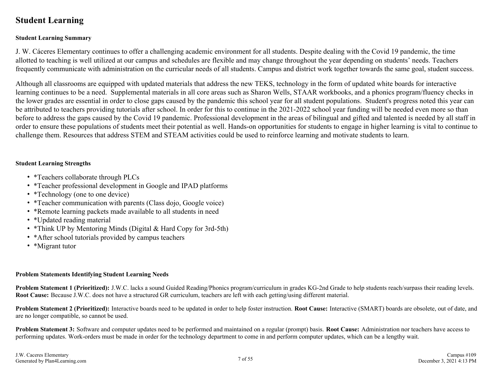### <span id="page-6-0"></span>**Student Learning**

#### **Student Learning Summary**

J. W. Cáceres Elementary continues to offer a challenging academic environment for all students. Despite dealing with the Covid 19 pandemic, the time allotted to teaching is well utilized at our campus and schedules are flexible and may change throughout the year depending on students' needs. Teachers frequently communicate with administration on the curricular needs of all students. Campus and district work together towards the same goal, student success.

Although all classrooms are equipped with updated materials that address the new TEKS, technology in the form of updated white boards for interactive learning continues to be a need. Supplemental materials in all core areas such as Sharon Wells, STAAR workbooks, and a phonics program/fluency checks in the lower grades are essential in order to close gaps caused by the pandemic this school year for all student populations. Student's progress noted this year can be attributed to teachers providing tutorials after school. In order for this to continue in the 2021-2022 school year funding will be needed even more so than before to address the gaps caused by the Covid 19 pandemic. Professional development in the areas of bilingual and gifted and talented is needed by all staff in order to ensure these populations of students meet their potential as well. Hands-on opportunities for students to engage in higher learning is vital to continue to challenge them. Resources that address STEM and STEAM activities could be used to reinforce learning and motivate students to learn.

#### **Student Learning Strengths**

- \*Teachers collaborate through PLCs
- \*Teacher professional development in Google and IPAD platforms
- \*Technology (one to one device)
- \*Teacher communication with parents (Class dojo, Google voice)
- \*Remote learning packets made available to all students in need
- \*Updated reading material
- \*Think UP by Mentoring Minds (Digital & Hard Copy for 3rd-5th)
- \*After school tutorials provided by campus teachers
- \*Migrant tutor

#### **Problem Statements Identifying Student Learning Needs**

**Problem Statement 1 (Prioritized):** J.W.C. lacks a sound Guided Reading/Phonics program/curriculum in grades KG-2nd Grade to help students reach/surpass their reading levels. **Root Cause:** Because J.W.C. does not have a structured GR curriculum, teachers are left with each getting/using different material.

**Problem Statement 2 (Prioritized):** Interactive boards need to be updated in order to help foster instruction. **Root Cause:** Interactive (SMART) boards are obsolete, out of date, and are no longer compatible, so cannot be used.

**Problem Statement 3:** Software and computer updates need to be performed and maintained on a regular (prompt) basis. **Root Cause:** Administration nor teachers have access to performing updates. Work-orders must be made in order for the technology department to come in and perform computer updates, which can be a lengthy wait.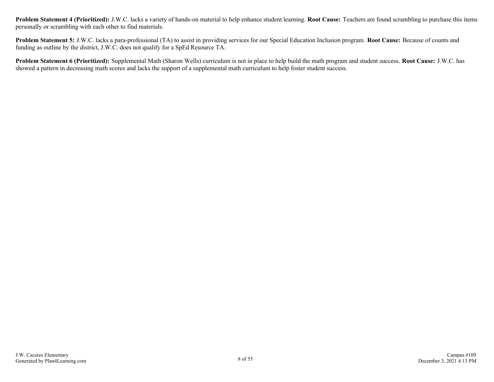**Problem Statement 4 (Prioritized):** J.W.C. lacks a variety of hands-on material to help enhance student learning. **Root Cause:** Teachers are found scrambling to purchase this items personally or scrambling with each other to find materials.

**Problem Statement 5:** J.W.C. lacks a para-professional (TA) to assist in providing services for our Special Education Inclusion program. **Root Cause:** Because of counts and funding as outline by the district, J.W.C. does not qualify for a SpEd Resource TA.

**Problem Statement 6 (Prioritized):** Supplemental Math (Sharon Wells) curriculum is not in place to help build the math program and student success. **Root Cause:** J.W.C. has showed a pattern in decreasing math scores and lacks the support of a supplemental math curriculum to help foster student success.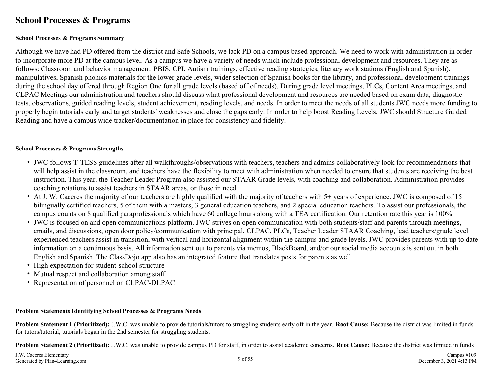### <span id="page-8-0"></span>**School Processes & Programs**

#### **School Processes & Programs Summary**

Although we have had PD offered from the district and Safe Schools, we lack PD on a campus based approach. We need to work with administration in order to incorporate more PD at the campus level. As a campus we have a variety of needs which include professional development and resources. They are as follows: Classroom and behavior management, PBIS, CPI, Autism trainings, effective reading strategies, literacy work stations (English and Spanish), manipulatives, Spanish phonics materials for the lower grade levels, wider selection of Spanish books for the library, and professional development trainings during the school day offered through Region One for all grade levels (based off of needs). During grade level meetings, PLCs, Content Area meetings, and CLPAC Meetings our administration and teachers should discuss what professional development and resources are needed based on exam data, diagnostic tests, observations, guided reading levels, student achievement, reading levels, and needs. In order to meet the needs of all students JWC needs more funding to properly begin tutorials early and target students' weaknesses and close the gaps early. In order to help boost Reading Levels, JWC should Structure Guided Reading and have a campus wide tracker/documentation in place for consistency and fidelity.

#### **School Processes & Programs Strengths**

- JWC follows T-TESS guidelines after all walkthroughs/observations with teachers, teachers and admins collaboratively look for recommendations that will help assist in the classroom, and teachers have the flexibility to meet with administration when needed to ensure that students are receiving the best instruction. This year, the Teacher Leader Program also assisted our STAAR Grade levels, with coaching and collaboration. Administration provides coaching rotations to assist teachers in STAAR areas, or those in need.
- At J. W. Caceres the majority of our teachers are highly qualified with the majority of teachers with 5+ years of experience. JWC is composed of 15 bilingually certified teachers, 5 of them with a masters, 3 general education teachers, and 2 special education teachers. To assist our professionals, the campus counts on 8 qualified paraprofessionals which have 60 college hours along with a TEA certification. Our retention rate this year is 100%.
- JWC is focused on and open communications platform. JWC strives on open communication with both students/staff and parents through meetings, emails, and discussions, open door policy/communication with principal, CLPAC, PLCs, Teacher Leader STAAR Coaching, lead teachers/grade level experienced teachers assist in transition, with vertical and horizontal alignment within the campus and grade levels. JWC provides parents with up to date information on a continuous basis. All information sent out to parents via memos, BlackBoard, and/or our social media accounts is sent out in both English and Spanish. The ClassDojo app also has an integrated feature that translates posts for parents as well.
- High expectation for student-school structure
- Mutual respect and collaboration among staff
- Representation of personnel on CLPAC-DLPAC

#### **Problem Statements Identifying School Processes & Programs Needs**

**Problem Statement 1 (Prioritized):** J.W.C. was unable to provide tutorials/tutors to struggling students early off in the year. **Root Cause:** Because the district was limited in funds for tutors/tutorial, tutorials began in the 2nd semester for struggling students.

**Problem Statement 2 (Prioritized):** J.W.C. was unable to provide campus PD for staff, in order to assist academic concerns. **Root Cause:** Because the district was limited in funds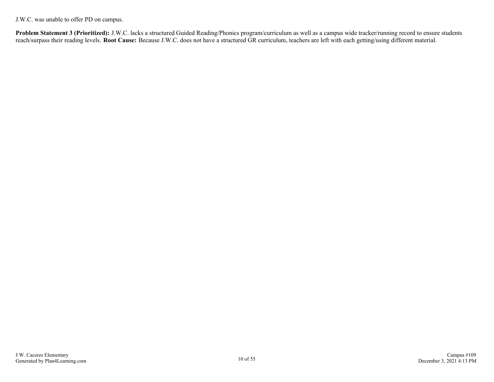J.W.C. was unable to offer PD on campus.

**Problem Statement 3 (Prioritized):** J.W.C. lacks a structured Guided Reading/Phonics program/curriculum as well as a campus wide tracker/running record to ensure students reach/surpass their reading levels. **Root Cause:** Because J.W.C. does not have a structured GR curriculum, teachers are left with each getting/using different material.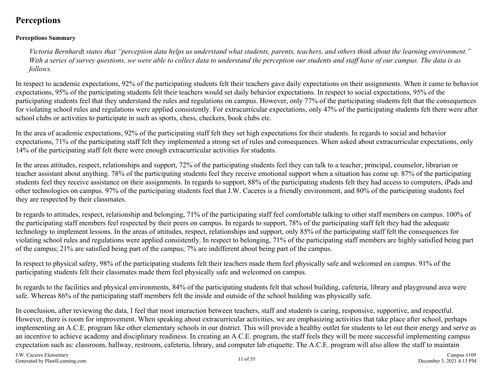### <span id="page-10-0"></span>**Perceptions**

#### **Perceptions Summary**

*Victoria Bernhardt states that "perception data helps us understand what students, parents, teachers, and others think about the learning environment." With a series of survey questions, we were able to collect data to understand the perception our students and staff have of our campus. The data is as follows.*

In respect to academic expectations, 92% of the participating students felt their teachers gave daily expectations on their assignments. When it came to behavior expectations, 95% of the participating students felt their teachers would set daily behavior expectations. In respect to social expectations, 95% of the participating students feel that they understand the rules and regulations on campus. However, only 77% of the participating students felt that the consequences for violating school rules and regulations were applied consistently. For extracurricular expectations, only 47% of the participating students felt there were after school clubs or activities to participate in such as sports, chess, checkers, book clubs etc.

In the area of academic expectations, 92% of the participating staff felt they set high expectations for their students. In regards to social and behavior expectations, 71% of the participating staff felt they implemented a strong set of rules and consequences. When asked about extracurricular expectations, only 14% of the participating staff felt there were enough extracurricular activities for students.

In the areas attitudes, respect, relationships and support, 72% of the participating students feel they can talk to a teacher, principal, counselor, librarian or teacher assistant about anything. 78% of the participating students feel they receive emotional support when a situation has come up. 87% of the participating students feel they receive assistance on their assignments. In regards to support, 88% of the participating students felt they had access to computers, iPads and other technologies on campus. 97% of the participating students feel that J.W. Caceres is a friendly environment, and 80% of the participating students feel they are respected by their classmates.

In regards to attitudes, respect, relationship and belonging, 71% of the participating staff feel comfortable talking to other staff members on campus. 100% of the participating staff members feel respected by their peers on campus. In regards to support, 78% of the participating staff felt they had the adequate technology to implement lessons. In the areas of attitudes, respect, relationships and support, only 85% of the participating staff felt the consequences for violating school rules and regulations were applied consistently. In respect to belonging, 71% of the participating staff members are highly satisfied being part of the campus; 21% are satisfied being part of the campus; 7% are indifferent about being part of the campus.

In respect to physical safety, 98% of the participating students felt their teachers made them feel physically safe and welcomed on campus. 91% of the participating students felt their classmates made them feel physically safe and welcomed on campus.

In regards to the facilities and physical environments, 84% of the participating students felt that school building, cafeteria, library and playground area were safe. Whereas 86% of the participating staff members felt the inside and outside of the school building was physically safe.

In conclusion, after reviewing the data, I feel that most interaction between teachers, staff and students is caring, responsive, supportive, and respectful. However, there is room for improvement. When speaking about extracurricular activities, we are emphasizing activities that take place after school, perhaps implementing an A.C.E. program like other elementary schools in our district. This will provide a healthy outlet for students to let out their energy and serve as an incentive to achieve academy and disciplinary readiness. In creating an A.C.E. program, the staff feels they will be more successful implementing campus expectation such as: classroom, hallway, restroom, cafeteria, library, and computer lab etiquette. The A.C.E. program will also allow the staff to maintain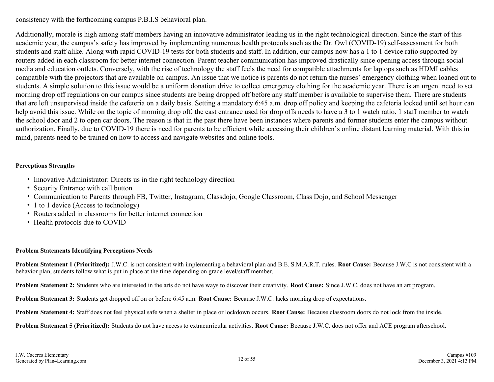consistency with the forthcoming campus P.B.I.S behavioral plan.

Additionally, morale is high among staff members having an innovative administrator leading us in the right technological direction. Since the start of this academic year, the campus's safety has improved by implementing numerous health protocols such as the Dr. Owl (COVID-19) self-assessment for both students and staff alike. Along with rapid COVID-19 tests for both students and staff. In addition, our campus now has a 1 to 1 device ratio supported by routers added in each classroom for better internet connection. Parent teacher communication has improved drastically since opening access through social media and education outlets. Conversely, with the rise of technology the staff feels the need for compatible attachments for laptops such as HDMI cables compatible with the projectors that are available on campus. An issue that we notice is parents do not return the nurses' emergency clothing when loaned out to students. A simple solution to this issue would be a uniform donation drive to collect emergency clothing for the academic year. There is an urgent need to set morning drop off regulations on our campus since students are being dropped off before any staff member is available to supervise them. There are students that are left unsupervised inside the cafeteria on a daily basis. Setting a mandatory 6:45 a.m. drop off policy and keeping the cafeteria locked until set hour can help avoid this issue. While on the topic of morning drop off, the east entrance used for drop offs needs to have a 3 to 1 watch ratio. 1 staff member to watch the school door and 2 to open car doors. The reason is that in the past there have been instances where parents and former students enter the campus without authorization. Finally, due to COVID-19 there is need for parents to be efficient while accessing their children's online distant learning material. With this in mind, parents need to be trained on how to access and navigate websites and online tools.

#### **Perceptions Strengths**

- Innovative Administrator: Directs us in the right technology direction
- Security Entrance with call button
- Communication to Parents through FB, Twitter, Instagram, Classdojo, Google Classroom, Class Dojo, and School Messenger
- 1 to 1 device (Access to technology)
- Routers added in classrooms for better internet connection
- Health protocols due to COVID

#### **Problem Statements Identifying Perceptions Needs**

**Problem Statement 1 (Prioritized):** J.W.C. is not consistent with implementing a behavioral plan and B.E. S.M.A.R.T. rules. **Root Cause:** Because J.W.C is not consistent with a behavior plan, students follow what is put in place at the time depending on grade level/staff member.

**Problem Statement 2:** Students who are interested in the arts do not have ways to discover their creativity. **Root Cause:** Since J.W.C. does not have an art program.

**Problem Statement 3:** Students get dropped off on or before 6:45 a.m. **Root Cause:** Because J.W.C. lacks morning drop of expectations.

**Problem Statement 4:** Staff does not feel physical safe when a shelter in place or lockdown occurs. **Root Cause:** Because classroom doors do not lock from the inside.

**Problem Statement 5 (Prioritized):** Students do not have access to extracurricular activities. **Root Cause:** Because J.W.C. does not offer and ACE program afterschool.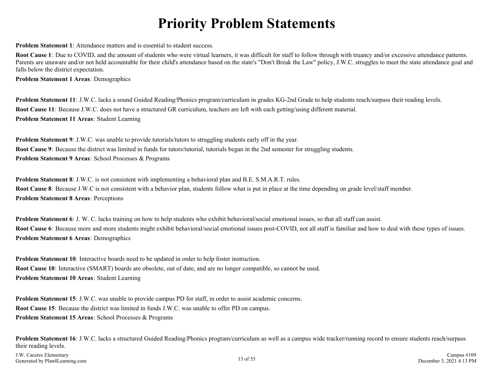# **Priority Problem Statements**

<span id="page-12-0"></span>**Problem Statement 1:** Attendance matters and is essential to student success.

**Root Cause 1**: Due to COVID, and the amount of students who were virtual learners, it was difficult for staff to follow through with truancy and/or excessive attendance patterns. Parents are unaware and/or not held accountable for their child's attendance based on the state's "Don't Break the Law" policy, J.W.C. struggles to meet the state attendance goal and falls below the district expectation.

**Problem Statement 1 Areas**: Demographics

**Problem Statement 11**: J.W.C. lacks a sound Guided Reading/Phonics program/curriculum in grades KG-2nd Grade to help students reach/surpass their reading levels. **Root Cause 11**: Because J.W.C. does not have a structured GR curriculum, teachers are left with each getting/using different material. **Problem Statement 11 Areas**: Student Learning

**Problem Statement 9**: J.W.C. was unable to provide tutorials/tutors to struggling students early off in the year. **Root Cause 9**: Because the district was limited in funds for tutors/tutorial, tutorials began in the 2nd semester for struggling students. **Problem Statement 9 Areas**: School Processes & Programs

**Problem Statement 8**: J.W.C. is not consistent with implementing a behavioral plan and B.E. S.M.A.R.T. rules. **Root Cause 8**: Because J.W.C is not consistent with a behavior plan, students follow what is put in place at the time depending on grade level/staff member. **Problem Statement 8 Areas**: Perceptions

**Problem Statement 6**: J. W. C. lacks training on how to help students who exhibit behavioral/social emotional issues, so that all staff can assist. **Root Cause 6**: Because more and more students might exhibit behavioral/social emotional issues post-COVID, not all staff is familiar and how to deal with these types of issues. **Problem Statement 6 Areas**: Demographics

**Problem Statement 10:** Interactive boards need to be updated in order to help foster instruction. **Root Cause 10**: Interactive (SMART) boards are obsolete, out of date, and are no longer compatible, so cannot be used. **Problem Statement 10 Areas**: Student Learning

**Problem Statement 15:** J.W.C. was unable to provide campus PD for staff, in order to assist academic concerns. **Root Cause 15**: Because the district was limited in funds J.W.C. was unable to offer PD on campus. **Problem Statement 15 Areas**: School Processes & Programs

**Problem Statement 16**: J.W.C. lacks a structured Guided Reading/Phonics program/curriculum as well as a campus wide tracker/running record to ensure students reach/surpass their reading levels.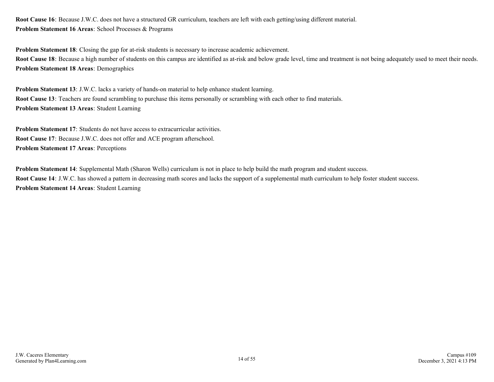**Root Cause 16**: Because J.W.C. does not have a structured GR curriculum, teachers are left with each getting/using different material. **Problem Statement 16 Areas**: School Processes & Programs

**Problem Statement 18**: Closing the gap for at-risk students is necessary to increase academic achievement. Root Cause 18: Because a high number of students on this campus are identified as at-risk and below grade level, time and treatment is not being adequately used to meet their needs. **Problem Statement 18 Areas**: Demographics

**Problem Statement 13:** J.W.C. lacks a variety of hands-on material to help enhance student learning. **Root Cause 13**: Teachers are found scrambling to purchase this items personally or scrambling with each other to find materials. **Problem Statement 13 Areas**: Student Learning

**Problem Statement 17:** Students do not have access to extracurricular activities. **Root Cause 17**: Because J.W.C. does not offer and ACE program afterschool. **Problem Statement 17 Areas**: Perceptions

**Problem Statement 14**: Supplemental Math (Sharon Wells) curriculum is not in place to help build the math program and student success. **Root Cause 14**: J.W.C. has showed a pattern in decreasing math scores and lacks the support of a supplemental math curriculum to help foster student success. **Problem Statement 14 Areas**: Student Learning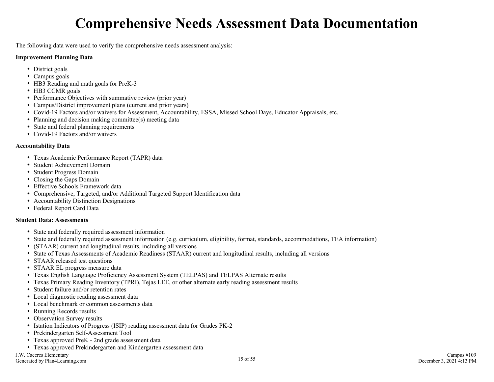# **Comprehensive Needs Assessment Data Documentation**

<span id="page-14-0"></span>The following data were used to verify the comprehensive needs assessment analysis:

#### **Improvement Planning Data**

- District goals
- Campus goals
- HB3 Reading and math goals for PreK-3
- HB3 CCMR goals
- Performance Objectives with summative review (prior year)
- Campus/District improvement plans (current and prior years)
- Covid-19 Factors and/or waivers for Assessment, Accountability, ESSA, Missed School Days, Educator Appraisals, etc.
- Planning and decision making committee(s) meeting data
- State and federal planning requirements
- Covid-19 Factors and/or waivers

#### **Accountability Data**

- Texas Academic Performance Report (TAPR) data
- Student Achievement Domain
- Student Progress Domain
- Closing the Gaps Domain
- Effective Schools Framework data
- Comprehensive, Targeted, and/or Additional Targeted Support Identification data
- Accountability Distinction Designations
- Federal Report Card Data

#### **Student Data: Assessments**

- State and federally required assessment information
- State and federally required assessment information (e.g. curriculum, eligibility, format, standards, accommodations, TEA information)
- (STAAR) current and longitudinal results, including all versions
- State of Texas Assessments of Academic Readiness (STAAR) current and longitudinal results, including all versions
- STAAR released test questions
- STAAR EL progress measure data
- Texas English Language Proficiency Assessment System (TELPAS) and TELPAS Alternate results
- Texas Primary Reading Inventory (TPRI), Tejas LEE, or other alternate early reading assessment results
- Student failure and/or retention rates
- Local diagnostic reading assessment data
- Local benchmark or common assessments data
- Running Records results
- Observation Survey results
- Istation Indicators of Progress (ISIP) reading assessment data for Grades PK-2
- Prekindergarten Self-Assessment Tool
- Texas approved PreK 2nd grade assessment data
- Texas approved Prekindergarten and Kindergarten assessment data

J.W. Caceres Elementary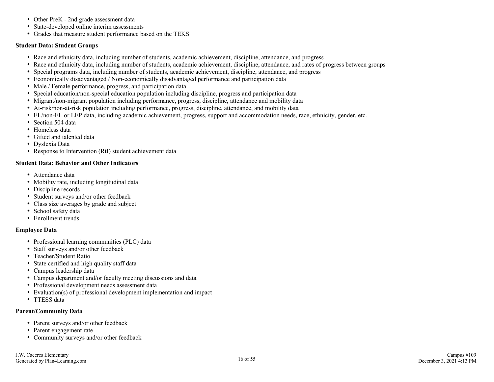- Other PreK 2nd grade assessment data
- State-developed online interim assessments
- Grades that measure student performance based on the TEKS

#### **Student Data: Student Groups**

- Race and ethnicity data, including number of students, academic achievement, discipline, attendance, and progress
- Race and ethnicity data, including number of students, academic achievement, discipline, attendance, and rates of progress between groups
- Special programs data, including number of students, academic achievement, discipline, attendance, and progress
- Economically disadvantaged / Non-economically disadvantaged performance and participation data
- Male / Female performance, progress, and participation data
- Special education/non-special education population including discipline, progress and participation data
- Migrant/non-migrant population including performance, progress, discipline, attendance and mobility data
- At-risk/non-at-risk population including performance, progress, discipline, attendance, and mobility data
- EL/non-EL or LEP data, including academic achievement, progress, support and accommodation needs, race, ethnicity, gender, etc.
- Section 504 data
- Homeless data
- Gifted and talented data
- Dyslexia Data
- Response to Intervention (RtI) student achievement data

#### **Student Data: Behavior and Other Indicators**

- Attendance data
- Mobility rate, including longitudinal data
- Discipline records
- Student surveys and/or other feedback
- Class size averages by grade and subject
- School safety data
- Enrollment trends

#### **Employee Data**

- Professional learning communities (PLC) data
- Staff surveys and/or other feedback
- Teacher/Student Ratio
- State certified and high quality staff data
- Campus leadership data
- Campus department and/or faculty meeting discussions and data
- Professional development needs assessment data
- Evaluation(s) of professional development implementation and impact
- TTESS data

#### **Parent/Community Data**

- Parent surveys and/or other feedback
- Parent engagement rate
- Community surveys and/or other feedback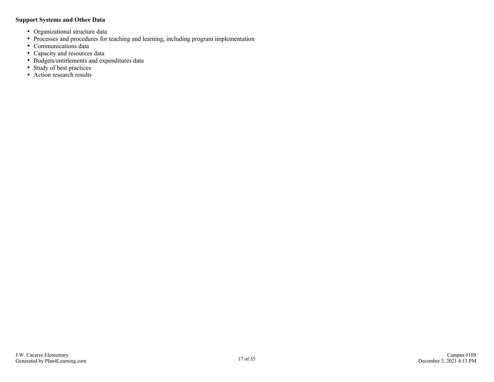#### **Support Systems and Other Data**

- Organizational structure data
- Processes and procedures for teaching and learning, including program implementation
- Communications data
- Capacity and resources data
- Budgets/entitlements and expenditures data
- Study of best practices
- Action research results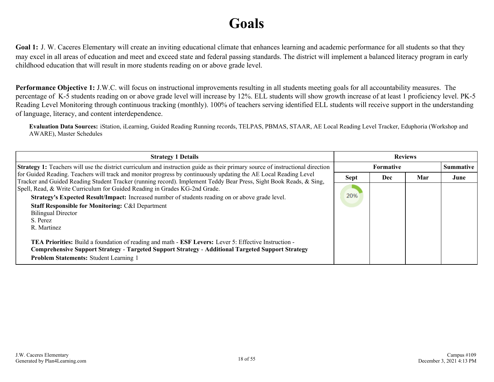# **Goals**

<span id="page-17-0"></span>Goal 1: J. W. Caceres Elementary will create an inviting educational climate that enhances learning and academic performance for all students so that they may excel in all areas of education and meet and exceed state and federal passing standards. The district will implement a balanced literacy program in early childhood education that will result in more students reading on or above grade level.

**Performance Objective 1:** J.W.C. will focus on instructional improvements resulting in all students meeting goals for all accountability measures. The percentage of K-5 students reading on or above grade level will increase by 12%. ELL students will show growth increase of at least 1 proficiency level. PK-5 Reading Level Monitoring through continuous tracking (monthly). 100% of teachers serving identified ELL students will receive support in the understanding of language, literacy, and content interdependence.

**Evaluation Data Sources:** iStation, iLearning, Guided Reading Running records, TELPAS, PBMAS, STAAR, AE Local Reading Level Tracker, Eduphoria (Workshop and AWARE), Master Schedules

| <b>Strategy 1 Details</b>                                                                                                                                                                                                                                                                             | <b>Reviews</b> |                  |     |      |
|-------------------------------------------------------------------------------------------------------------------------------------------------------------------------------------------------------------------------------------------------------------------------------------------------------|----------------|------------------|-----|------|
| <b>Strategy 1:</b> Teachers will use the district curriculum and instruction guide as their primary source of instructional direction                                                                                                                                                                 |                | <b>Summative</b> |     |      |
| for Guided Reading. Teachers will track and monitor progress by continuously updating the AE Local Reading Level<br>Tracker and Guided Reading Student Tracker (running record). Implement Teddy Bear Press, Sight Book Reads, & Sing,                                                                | <b>Sept</b>    | Dec              | Mar | June |
| Spell, Read, & Write Curriculum for Guided Reading in Grades KG-2nd Grade.<br>Strategy's Expected Result/Impact: Increased number of students reading on or above grade level.<br><b>Staff Responsible for Monitoring: C&amp;I Department</b><br><b>Bilingual Director</b><br>S. Perez<br>R. Martinez | 20%            |                  |     |      |
| <b>TEA Priorities:</b> Build a foundation of reading and math - <b>ESF Levers:</b> Lever 5: Effective Instruction -<br>Comprehensive Support Strategy - Targeted Support Strategy - Additional Targeted Support Strategy<br><b>Problem Statements: Student Learning 1</b>                             |                |                  |     |      |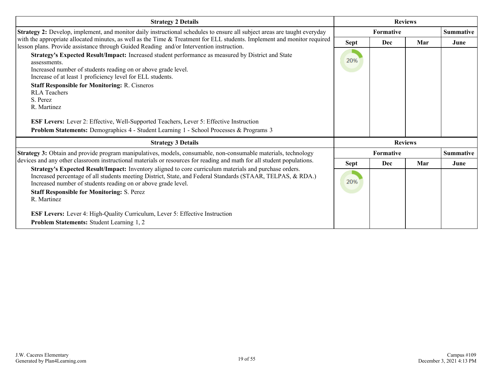| <b>Strategy 2 Details</b>                                                                                                                                                                                                                                                                                                                                                                                                                                                                                                                                                                                                                                                                                                                                                        | <b>Reviews</b>     |                               |     |                  |
|----------------------------------------------------------------------------------------------------------------------------------------------------------------------------------------------------------------------------------------------------------------------------------------------------------------------------------------------------------------------------------------------------------------------------------------------------------------------------------------------------------------------------------------------------------------------------------------------------------------------------------------------------------------------------------------------------------------------------------------------------------------------------------|--------------------|-------------------------------|-----|------------------|
| Strategy 2: Develop, implement, and monitor daily instructional schedules to ensure all subject areas are taught everyday                                                                                                                                                                                                                                                                                                                                                                                                                                                                                                                                                                                                                                                        |                    | <b>Formative</b>              |     | <b>Summative</b> |
| with the appropriate allocated minutes, as well as the Time & Treatment for ELL students. Implement and monitor required<br>lesson plans. Provide assistance through Guided Reading and/or Intervention instruction.<br>Strategy's Expected Result/Impact: Increased student performance as measured by District and State<br>assessments.<br>Increased number of students reading on or above grade level.<br>Increase of at least 1 proficiency level for ELL students.<br><b>Staff Responsible for Monitoring: R. Cisneros</b><br><b>RLA</b> Teachers<br>S. Perez<br>R. Martinez<br><b>ESF Levers:</b> Lever 2: Effective, Well-Supported Teachers, Lever 5: Effective Instruction<br>Problem Statements: Demographics 4 - Student Learning 1 - School Processes & Programs 3 | <b>Sept</b><br>20% | Dec                           | Mar | June             |
| <b>Strategy 3 Details</b>                                                                                                                                                                                                                                                                                                                                                                                                                                                                                                                                                                                                                                                                                                                                                        |                    | <b>Reviews</b>                |     |                  |
| Strategy 3: Obtain and provide program manipulatives, models, consumable, non-consumable materials, technology                                                                                                                                                                                                                                                                                                                                                                                                                                                                                                                                                                                                                                                                   |                    | Formative<br><b>Summative</b> |     |                  |
| devices and any other classroom instructional materials or resources for reading and math for all student populations.                                                                                                                                                                                                                                                                                                                                                                                                                                                                                                                                                                                                                                                           | Sept               | Dec                           | Mar | June             |
| Strategy's Expected Result/Impact: Inventory aligned to core curriculum materials and purchase orders.<br>Increased percentage of all students meeting District, State, and Federal Standards (STAAR, TELPAS, & RDA.)<br>Increased number of students reading on or above grade level.<br><b>Staff Responsible for Monitoring: S. Perez</b><br>R. Martinez<br><b>ESF Levers:</b> Lever 4: High-Quality Curriculum, Lever 5: Effective Instruction                                                                                                                                                                                                                                                                                                                                | 20%                |                               |     |                  |
| Problem Statements: Student Learning 1, 2                                                                                                                                                                                                                                                                                                                                                                                                                                                                                                                                                                                                                                                                                                                                        |                    |                               |     |                  |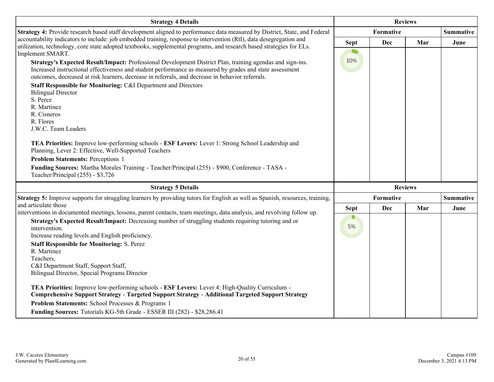| <b>Strategy 4 Details</b>                                                                                                                                                                                                                                                                                                 | <b>Reviews</b> |            |                |                  |
|---------------------------------------------------------------------------------------------------------------------------------------------------------------------------------------------------------------------------------------------------------------------------------------------------------------------------|----------------|------------|----------------|------------------|
| Strategy 4: Provide research based staff development aligned to performance data measured by District, State, and Federal                                                                                                                                                                                                 |                | Formative  |                | <b>Summative</b> |
| accountability indicators to include: job embedded training, response to intervention (RtI), data desegregation and<br>utilization, technology, core state adopted textbooks, supplemental programs, and research based strategies for ELs.<br>Implement SMART.                                                           | <b>Sept</b>    | <b>Dec</b> | Mar            | June             |
| Strategy's Expected Result/Impact: Professional Development District Plan, training agendas and sign-ins.<br>Increased instructional effectiveness and student performance as measured by grades and state assessment<br>outcomes, decreased at risk learners, decrease in referrals, and decrease in behavior referrals. | 10%            |            |                |                  |
| Staff Responsible for Monitoring: C&I Department and Directors<br><b>Bilingual Director</b><br>S. Perez                                                                                                                                                                                                                   |                |            |                |                  |
| R. Martinez<br>R. Cisneros                                                                                                                                                                                                                                                                                                |                |            |                |                  |
| R. Flores<br>J.W.C. Team Leaders                                                                                                                                                                                                                                                                                          |                |            |                |                  |
| TEA Priorities: Improve low-performing schools - ESF Levers: Lever 1: Strong School Leadership and<br>Planning, Lever 2: Effective, Well-Supported Teachers                                                                                                                                                               |                |            |                |                  |
| <b>Problem Statements: Perceptions 1</b>                                                                                                                                                                                                                                                                                  |                |            |                |                  |
| Funding Sources: Martha Morales Training - Teacher/Principal (255) - \$900, Conference - TASA -<br>Teacher/Principal (255) - \$3,726                                                                                                                                                                                      |                |            |                |                  |
| <b>Strategy 5 Details</b>                                                                                                                                                                                                                                                                                                 |                |            | <b>Reviews</b> |                  |
| <b>Strategy 5:</b> Improve supports for struggling learners by providing tutors for English as well as Spanish, resources, training,                                                                                                                                                                                      |                | Formative  |                | <b>Summative</b> |
| and articulate those<br>interventions in documented meetings, lessons, parent contacts, team meetings, data analysis, and revolving follow up.                                                                                                                                                                            | <b>Sept</b>    | <b>Dec</b> | Mar            | June             |
| Strategy's Expected Result/Impact: Decreasing number of struggling students requiring tutoring and or<br>intervention.<br>Increase reading levels and English proficiency.                                                                                                                                                | D<br>5%        |            |                |                  |
| <b>Staff Responsible for Monitoring: S. Perez</b><br>R. Martinez<br>Teachers,                                                                                                                                                                                                                                             |                |            |                |                  |
| C&I Department Staff, Support Staff,<br>Bilingual Director, Special Programs Director                                                                                                                                                                                                                                     |                |            |                |                  |
| TEA Priorities: Improve low-performing schools - ESF Levers: Lever 4: High-Quality Curriculum -<br>Comprehensive Support Strategy - Targeted Support Strategy - Additional Targeted Support Strategy                                                                                                                      |                |            |                |                  |
| Problem Statements: School Processes & Programs 1                                                                                                                                                                                                                                                                         |                |            |                |                  |
| Funding Sources: Tutorials KG-5th Grade - ESSER III (282) - \$28,286.41                                                                                                                                                                                                                                                   |                |            |                |                  |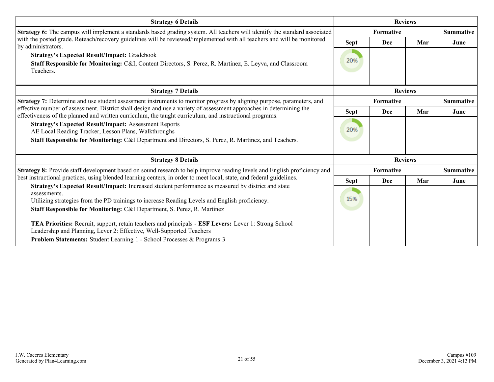| <b>Strategy 6 Details</b>                                                                                                                                                                                                                                                                       |                  | <b>Reviews</b> |                |                  |
|-------------------------------------------------------------------------------------------------------------------------------------------------------------------------------------------------------------------------------------------------------------------------------------------------|------------------|----------------|----------------|------------------|
| Strategy 6: The campus will implement a standards based grading system. All teachers will identify the standard associated                                                                                                                                                                      |                  | Formative      |                | <b>Summative</b> |
| with the posted grade. Reteach/recovery guidelines will be reviewed/implemented with all teachers and will be monitored<br>by administrators.                                                                                                                                                   | Sept             | Dec            | Mar            | June             |
| <b>Strategy's Expected Result/Impact: Gradebook</b>                                                                                                                                                                                                                                             |                  |                |                |                  |
| Staff Responsible for Monitoring: C&I, Content Directors, S. Perez, R. Martinez, E. Leyva, and Classroom<br>Teachers.                                                                                                                                                                           | 20%              |                |                |                  |
| <b>Strategy 7 Details</b>                                                                                                                                                                                                                                                                       | <b>Reviews</b>   |                |                |                  |
| <b>Strategy 7:</b> Determine and use student assessment instruments to monitor progress by aligning purpose, parameters, and                                                                                                                                                                    | <b>Formative</b> |                |                | <b>Summative</b> |
| effective number of assessment. District shall design and use a variety of assessment approaches in determining the<br>effectiveness of the planned and written curriculum, the taught curriculum, and instructional programs.                                                                  | Sept             | Dec            | Mar            | June             |
| <b>Strategy's Expected Result/Impact: Assessment Reports</b><br>AE Local Reading Tracker, Lesson Plans, Walkthroughs<br>Staff Responsible for Monitoring: C&I Department and Directors, S. Perez, R. Martinez, and Teachers.                                                                    | 20%              |                |                |                  |
| <b>Strategy 8 Details</b>                                                                                                                                                                                                                                                                       |                  |                | <b>Reviews</b> |                  |
| Strategy 8: Provide staff development based on sound research to help improve reading levels and English proficiency and                                                                                                                                                                        |                  | Formative      |                | <b>Summative</b> |
| best instructional practices, using blended learning centers, in order to meet local, state, and federal guidelines.                                                                                                                                                                            | <b>Sept</b>      | Dec            | Mar            | June             |
| Strategy's Expected Result/Impact: Increased student performance as measured by district and state<br>assessments.<br>Utilizing strategies from the PD trainings to increase Reading Levels and English proficiency.<br>Staff Responsible for Monitoring: C&I Department, S. Perez, R. Martinez | 15%              |                |                |                  |
| TEA Priorities: Recruit, support, retain teachers and principals - ESF Levers: Lever 1: Strong School<br>Leadership and Planning, Lever 2: Effective, Well-Supported Teachers                                                                                                                   |                  |                |                |                  |
| Problem Statements: Student Learning 1 - School Processes & Programs 3                                                                                                                                                                                                                          |                  |                |                |                  |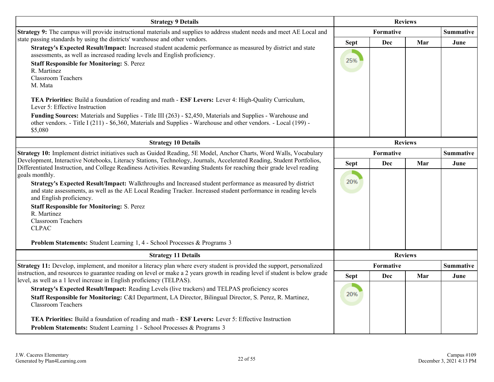| <b>Strategy 9 Details</b>                                                                                                                                                                                                                                                  | <b>Reviews</b>     |                  |                |                  |
|----------------------------------------------------------------------------------------------------------------------------------------------------------------------------------------------------------------------------------------------------------------------------|--------------------|------------------|----------------|------------------|
| Strategy 9: The campus will provide instructional materials and supplies to address student needs and meet AE Local and                                                                                                                                                    |                    | <b>Formative</b> |                |                  |
| state passing standards by using the districts' warehouse and other vendors.<br>Strategy's Expected Result/Impact: Increased student academic performance as measured by district and state<br>assessments, as well as increased reading levels and English proficiency.   | <b>Sept</b><br>25% | Dec              | Mar            | June             |
| <b>Staff Responsible for Monitoring: S. Perez</b><br>R. Martinez<br><b>Classroom Teachers</b><br>M. Mata                                                                                                                                                                   |                    |                  |                |                  |
| TEA Priorities: Build a foundation of reading and math - ESF Levers: Lever 4: High-Quality Curriculum,<br>Lever 5: Effective Instruction                                                                                                                                   |                    |                  |                |                  |
| Funding Sources: Materials and Supplies - Title III (263) - \$2,450, Materials and Supplies - Warehouse and<br>other vendors. - Title I (211) - \$6,360, Materials and Supplies - Warehouse and other vendors. - Local (199) -<br>\$5,080                                  |                    |                  |                |                  |
| <b>Strategy 10 Details</b>                                                                                                                                                                                                                                                 | <b>Reviews</b>     |                  |                |                  |
| Strategy 10: Implement district initiatives such as Guided Reading, 5E Model, Anchor Charts, Word Walls, Vocabulary                                                                                                                                                        | <b>Formative</b>   |                  |                | <b>Summative</b> |
| Development, Interactive Notebooks, Literacy Stations, Technology, Journals, Accelerated Reading, Student Portfolios,<br>Differentiated Instruction, and College Readiness Activities. Rewarding Students for reaching their grade level reading                           | <b>Sept</b>        | Dec              | Mar            | June             |
| goals monthly.<br>Strategy's Expected Result/Impact: Walkthroughs and Increased student performance as measured by district<br>and state assessments, as well as the AE Local Reading Tracker. Increased student performance in reading levels<br>and English proficiency. | 20%                |                  |                |                  |
| <b>Staff Responsible for Monitoring: S. Perez</b>                                                                                                                                                                                                                          |                    |                  |                |                  |
| R. Martinez<br><b>Classroom Teachers</b><br><b>CLPAC</b>                                                                                                                                                                                                                   |                    |                  |                |                  |
| Problem Statements: Student Learning 1, 4 - School Processes & Programs 3                                                                                                                                                                                                  |                    |                  |                |                  |
| <b>Strategy 11 Details</b>                                                                                                                                                                                                                                                 |                    |                  | <b>Reviews</b> |                  |
| Strategy 11: Develop, implement, and monitor a literacy plan where every student is provided the support, personalized<br>instruction, and resources to guarantee reading on level or make a 2 years growth in reading level if student is below grade                     |                    | Formative        |                | <b>Summative</b> |
| level, as well as a 1 level increase in English proficiency (TELPAS).                                                                                                                                                                                                      | <b>Sept</b>        | Dec              | Mar            | June             |
| Strategy's Expected Result/Impact: Reading Levels (live trackers) and TELPAS proficiency scores<br>Staff Responsible for Monitoring: C&I Department, LA Director, Bilingual Director, S. Perez, R. Martinez,<br><b>Classroom Teachers</b>                                  | 20%                |                  |                |                  |
| TEA Priorities: Build a foundation of reading and math - ESF Levers: Lever 5: Effective Instruction                                                                                                                                                                        |                    |                  |                |                  |
| Problem Statements: Student Learning 1 - School Processes & Programs 3                                                                                                                                                                                                     |                    |                  |                |                  |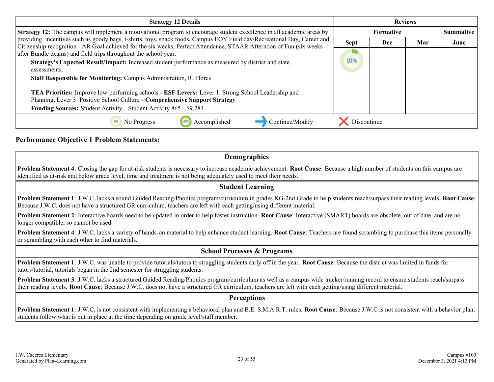| <b>Strategy 12 Details</b>                                                                                                                                                                                                                     | <b>Reviews</b>                       |     |     |      |
|------------------------------------------------------------------------------------------------------------------------------------------------------------------------------------------------------------------------------------------------|--------------------------------------|-----|-----|------|
| <b>Strategy 12:</b> The campus will implement a motivational program to encourage student excellence in all academic areas by                                                                                                                  | <b>Formative</b><br><b>Summative</b> |     |     |      |
| providing incentives such as goody bags, t-shirts, toys, snack foods, Campus EOY Field day/Recreational Day, Career and<br>Citizenship recognition - AR Goal achieved for the six weeks, Perfect Attendance, STAAR Afternoon of Fun (six weeks | <b>Sept</b>                          | Dec | Mar | June |
| after Bundle exams) and field trips throughout the school year.                                                                                                                                                                                |                                      |     |     |      |
| Strategy's Expected Result/Impact: Increased student performance as measured by district and state                                                                                                                                             | 10%                                  |     |     |      |
| assessments.<br><b>Staff Responsible for Monitoring: Campus Administration, R. Flores</b>                                                                                                                                                      |                                      |     |     |      |
|                                                                                                                                                                                                                                                |                                      |     |     |      |
| TEA Priorities: Improve low-performing schools - ESF Levers: Lever 1: Strong School Leadership and                                                                                                                                             |                                      |     |     |      |
| Planning, Lever 3: Positive School Culture - Comprehensive Support Strategy                                                                                                                                                                    |                                      |     |     |      |
| Funding Sources: Student Activity - Student Activity 865 - \$9,284                                                                                                                                                                             |                                      |     |     |      |
| Accomplished<br>Continue/Modify<br>No Progress<br>0%                                                                                                                                                                                           | Discontinue                          |     |     |      |

#### **Performance Objective 1 Problem Statements:**

#### **Demographics**

**Problem Statement 4**: Closing the gap for at-risk students is necessary to increase academic achievement. **Root Cause**: Because a high number of students on this campus are identified as at-risk and below grade level, time and treatment is not being adequately used to meet their needs.

#### **Student Learning**

**Problem Statement 1**: J.W.C. lacks a sound Guided Reading/Phonics program/curriculum in grades KG-2nd Grade to help students reach/surpass their reading levels. **Root Cause**: Because J.W.C. does not have a structured GR curriculum, teachers are left with each getting/using different material.

**Problem Statement 2**: Interactive boards need to be updated in order to help foster instruction. **Root Cause**: Interactive (SMART) boards are obsolete, out of date, and are no longer compatible, so cannot be used.

**Problem Statement 4**: J.W.C. lacks a variety of hands-on material to help enhance student learning. **Root Cause**: Teachers are found scrambling to purchase this items personally or scrambling with each other to find materials.

#### **School Processes & Programs**

**Problem Statement 1**: J.W.C. was unable to provide tutorials/tutors to struggling students early off in the year. **Root Cause**: Because the district was limited in funds for tutors/tutorial, tutorials began in the 2nd semester for struggling students.

**Problem Statement 3**: J.W.C. lacks a structured Guided Reading/Phonics program/curriculum as well as a campus wide tracker/running record to ensure students reach/surpass their reading levels. **Root Cause**: Because J.W.C. does not have a structured GR curriculum, teachers are left with each getting/using different material.

#### **Perceptions**

**Problem Statement 1**: J.W.C. is not consistent with implementing a behavioral plan and B.E. S.M.A.R.T. rules. **Root Cause**: Because J.W.C is not consistent with a behavior plan, students follow what is put in place at the time depending on grade level/staff member.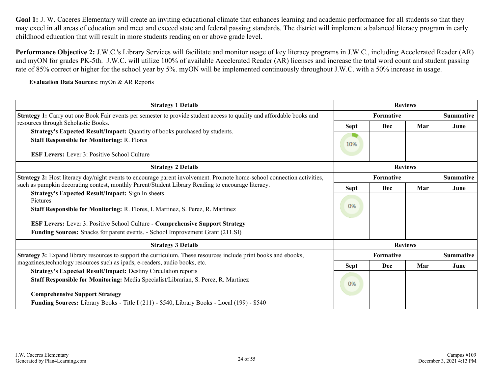Goal 1: J. W. Caceres Elementary will create an inviting educational climate that enhances learning and academic performance for all students so that they may excel in all areas of education and meet and exceed state and federal passing standards. The district will implement a balanced literacy program in early childhood education that will result in more students reading on or above grade level.

**Performance Objective 2:** J.W.C.'s Library Services will facilitate and monitor usage of key literacy programs in J.W.C., including Accelerated Reader (AR) and myON for grades PK-5th. J.W.C. will utilize 100% of available Accelerated Reader (AR) licenses and increase the total word count and student passing rate of 85% correct or higher for the school year by 5%. myON will be implemented continuously throughout J.W.C. with a 50% increase in usage.

**Evaluation Data Sources:** myOn & AR Reports

| <b>Strategy 1 Details</b>                                                                                              |             | <b>Reviews</b>   |                |                  |  |  |                  |
|------------------------------------------------------------------------------------------------------------------------|-------------|------------------|----------------|------------------|--|--|------------------|
| Strategy 1: Carry out one Book Fair events per semester to provide student access to quality and affordable books and  |             | Formative        |                |                  |  |  |                  |
| resources through Scholastic Books.                                                                                    | <b>Sept</b> | Dec              | Mar            | June             |  |  |                  |
| Strategy's Expected Result/Impact: Quantity of books purchased by students.                                            |             |                  |                |                  |  |  |                  |
| <b>Staff Responsible for Monitoring: R. Flores</b>                                                                     | 10%         |                  |                |                  |  |  |                  |
| <b>ESF Levers:</b> Lever 3: Positive School Culture                                                                    |             |                  |                |                  |  |  |                  |
| <b>Strategy 2 Details</b>                                                                                              |             |                  |                |                  |  |  |                  |
| Strategy 2: Host literacy day/night events to encourage parent involvement. Promote home-school connection activities, | Formative   |                  |                |                  |  |  | <b>Summative</b> |
| such as pumpkin decorating contest, monthly Parent/Student Library Reading to encourage literacy.                      | <b>Sept</b> | Dec              | Mar            | June             |  |  |                  |
| <b>Strategy's Expected Result/Impact:</b> Sign In sheets                                                               |             |                  |                |                  |  |  |                  |
| Pictures<br>Staff Responsible for Monitoring: R. Flores, I. Martinez, S. Perez, R. Martinez                            | 0%          |                  |                |                  |  |  |                  |
| ESF Levers: Lever 3: Positive School Culture - Comprehensive Support Strategy                                          |             |                  |                |                  |  |  |                  |
| Funding Sources: Snacks for parent events. - School Improvement Grant (211.SI)                                         |             |                  |                |                  |  |  |                  |
| <b>Strategy 3 Details</b>                                                                                              |             |                  | <b>Reviews</b> |                  |  |  |                  |
| Strategy 3: Expand library resources to support the curriculum. These resources include print books and ebooks,        |             | <b>Formative</b> |                | <b>Summative</b> |  |  |                  |
| magazines, technology resources such as ipads, e-readers, audio books, etc.                                            | <b>Sept</b> | Dec              | Mar            | June             |  |  |                  |
| <b>Strategy's Expected Result/Impact: Destiny Circulation reports</b>                                                  |             |                  |                |                  |  |  |                  |
| Staff Responsible for Monitoring: Media Specialist/Librarian, S. Perez, R. Martinez                                    | 0%          |                  |                |                  |  |  |                  |
| <b>Comprehensive Support Strategy</b>                                                                                  |             |                  |                |                  |  |  |                  |
| <b>Funding Sources:</b> Library Books - Title I (211) - \$540, Library Books - Local (199) - \$540                     |             |                  |                |                  |  |  |                  |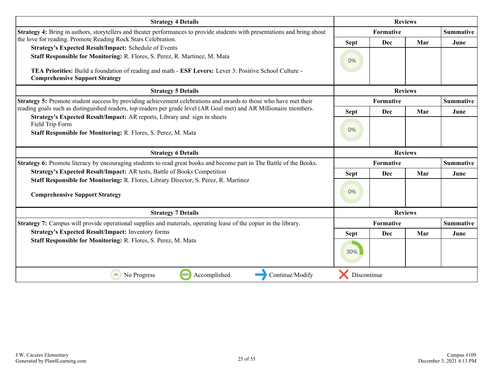| <b>Strategy 4 Details</b>                                                                                                                        |             | <b>Reviews</b>         |                |                  |  |
|--------------------------------------------------------------------------------------------------------------------------------------------------|-------------|------------------------|----------------|------------------|--|
| Strategy 4: Bring in authors, storytellers and theater performances to provide students with presentations and bring about                       |             | Summative<br>Formative |                |                  |  |
| the love for reading. Promote Reading Rock Stars Celebration.                                                                                    | <b>Sept</b> | Dec                    | Mar            | June             |  |
| Strategy's Expected Result/Impact: Schedule of Events<br>Staff Responsible for Monitoring: R. Flores, S. Perez, R. Martinez, M. Mata             | 0%          |                        |                |                  |  |
| TEA Priorities: Build a foundation of reading and math - ESF Levers: Lever 3: Positive School Culture -<br><b>Comprehensive Support Strategy</b> |             |                        |                |                  |  |
| <b>Strategy 5 Details</b>                                                                                                                        |             | <b>Reviews</b>         |                |                  |  |
| <b>Strategy 5:</b> Promote student success by providing achievement celebrations and awards to those who have met their                          |             | Formative              |                | <b>Summative</b> |  |
| reading goals such as distinguished readers, top readers per grade level (AR Goal met) and AR Millionaire members.                               | <b>Sept</b> | Dec                    | Mar            | June             |  |
| Strategy's Expected Result/Impact: AR reports, Library and sign in sheets<br>Field Trip Form                                                     |             |                        |                |                  |  |
| Staff Responsible for Monitoring: R. Flores, S. Perez, M. Mata                                                                                   | 0%          |                        |                |                  |  |
| <b>Strategy 6 Details</b>                                                                                                                        |             |                        | <b>Reviews</b> |                  |  |
| <b>Strategy 6:</b> Promote literacy by encouraging students to read great books and become part in The Battle of the Books.                      |             | Formative              |                | <b>Summative</b> |  |
| Strategy's Expected Result/Impact: AR tests, Battle of Books Competition                                                                         | <b>Sept</b> | Dec                    | Mar            | June             |  |
| Staff Responsible for Monitoring: R. Flores, Library Director, S. Perez, R. Martinez<br><b>Comprehensive Support Strategy</b>                    | 0%          |                        |                |                  |  |
| <b>Strategy 7 Details</b>                                                                                                                        |             |                        | <b>Reviews</b> |                  |  |
| <b>Strategy 7:</b> Campus will provide operational supplies and materials, operating lease of the copier in the library.                         |             | Formative              |                | <b>Summative</b> |  |
| <b>Strategy's Expected Result/Impact: Inventory forms</b>                                                                                        | <b>Sept</b> | Dec                    | Mar            | June             |  |
| Staff Responsible for Monitoring: R. Flores, S. Perez, M. Mata                                                                                   | 30%         |                        |                |                  |  |
| 100%<br>Accomplished<br>Continue/Modify<br>0%<br>No Progress                                                                                     | Discontinue |                        |                |                  |  |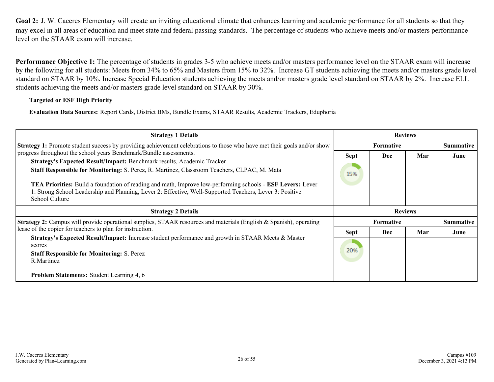<span id="page-25-0"></span>Goal 2: J. W. Caceres Elementary will create an inviting educational climate that enhances learning and academic performance for all students so that they may excel in all areas of education and meet state and federal passing standards. The percentage of students who achieve meets and/or masters performance level on the STAAR exam will increase.

**Performance Objective 1:** The percentage of students in grades 3-5 who achieve meets and/or masters performance level on the STAAR exam will increase by the following for all students: Meets from 34% to 65% and Masters from 15% to 32%. Increase GT students achieving the meets and/or masters grade level standard on STAAR by 10%. Increase Special Education students achieving the meets and/or masters grade level standard on STAAR by 2%. Increase ELL students achieving the meets and/or masters grade level standard on STAAR by 30%.

#### **Targeted or ESF High Priority**

**Evaluation Data Sources:** Report Cards, District BMs, Bundle Exams, STAAR Results, Academic Trackers, Eduphoria

| <b>Strategy 1 Details</b>                                                                                                                                                                                                                              | <b>Reviews</b> |                  |                |                  |
|--------------------------------------------------------------------------------------------------------------------------------------------------------------------------------------------------------------------------------------------------------|----------------|------------------|----------------|------------------|
| <b>Strategy 1:</b> Promote student success by providing achievement celebrations to those who have met their goals and/or show                                                                                                                         |                | <b>Formative</b> |                | <b>Summative</b> |
| progress throughout the school years Benchmark/Bundle assessments.<br>Strategy's Expected Result/Impact: Benchmark results, Academic Tracker                                                                                                           | <b>Sept</b>    | <b>Dec</b>       | Mar            | June             |
| Staff Responsible for Monitoring: S. Perez, R. Martinez, Classroom Teachers, CLPAC, M. Mata                                                                                                                                                            | 15%            |                  |                |                  |
| <b>TEA Priorities:</b> Build a foundation of reading and math, Improve low-performing schools - <b>ESF Levers:</b> Lever<br>1: Strong School Leadership and Planning, Lever 2: Effective, Well-Supported Teachers, Lever 3: Positive<br>School Culture |                |                  |                |                  |
|                                                                                                                                                                                                                                                        |                |                  |                |                  |
| <b>Strategy 2 Details</b>                                                                                                                                                                                                                              |                |                  | <b>Reviews</b> |                  |
| <b>Strategy 2:</b> Campus will provide operational supplies, STAAR resources and materials (English & Spanish), operating                                                                                                                              |                | <b>Formative</b> |                | <b>Summative</b> |
| lease of the copier for teachers to plan for instruction.                                                                                                                                                                                              | <b>Sept</b>    | <b>Dec</b>       | Mar            | June             |
| Strategy's Expected Result/Impact: Increase student performance and growth in STAAR Meets & Master<br>scores                                                                                                                                           |                |                  |                |                  |
| <b>Staff Responsible for Monitoring: S. Perez</b>                                                                                                                                                                                                      | 20%            |                  |                |                  |
| R.Martinez                                                                                                                                                                                                                                             |                |                  |                |                  |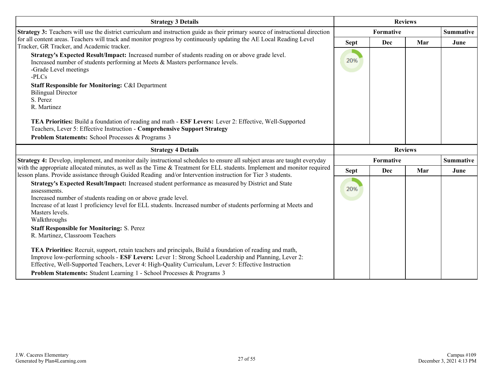| <b>Strategy 3 Details</b>                                                                                                                                                                                                                                                                                                                 | <b>Reviews</b> |                |     |                  |
|-------------------------------------------------------------------------------------------------------------------------------------------------------------------------------------------------------------------------------------------------------------------------------------------------------------------------------------------|----------------|----------------|-----|------------------|
| Strategy 3: Teachers will use the district curriculum and instruction guide as their primary source of instructional direction                                                                                                                                                                                                            | Formative      |                |     | <b>Summative</b> |
| for all content areas. Teachers will track and monitor progress by continuously updating the AE Local Reading Level<br>Tracker, GR Tracker, and Academic tracker.                                                                                                                                                                         | <b>Sept</b>    | Dec            | Mar | June             |
| Strategy's Expected Result/Impact: Increased number of students reading on or above grade level.<br>Increased number of students performing at Meets & Masters performance levels.<br>-Grade Level meetings<br>$-PLCs$                                                                                                                    | 20%            |                |     |                  |
| <b>Staff Responsible for Monitoring: C&amp;I Department</b><br><b>Bilingual Director</b><br>S. Perez<br>R. Martinez                                                                                                                                                                                                                       |                |                |     |                  |
| TEA Priorities: Build a foundation of reading and math - ESF Levers: Lever 2: Effective, Well-Supported<br>Teachers, Lever 5: Effective Instruction - Comprehensive Support Strategy<br>Problem Statements: School Processes & Programs 3                                                                                                 |                |                |     |                  |
| <b>Strategy 4 Details</b>                                                                                                                                                                                                                                                                                                                 |                | <b>Reviews</b> |     |                  |
| <b>Strategy 4:</b> Develop, implement, and monitor daily instructional schedules to ensure all subject areas are taught everyday                                                                                                                                                                                                          |                | Formative      |     | <b>Summative</b> |
| with the appropriate allocated minutes, as well as the Time & Treatment for ELL students. Implement and monitor required<br>lesson plans. Provide assistance through Guided Reading and/or Intervention instruction for Tier 3 students.                                                                                                  | <b>Sept</b>    | Dec            | Mar | June             |
| Strategy's Expected Result/Impact: Increased student performance as measured by District and State<br>assessments.<br>Increased number of students reading on or above grade level.<br>Increase of at least 1 proficiency level for ELL students. Increased number of students performing at Meets and<br>Masters levels.<br>Walkthroughs | 20%            |                |     |                  |
| <b>Staff Responsible for Monitoring: S. Perez</b><br>R. Martinez, Classroom Teachers                                                                                                                                                                                                                                                      |                |                |     |                  |
| TEA Priorities: Recruit, support, retain teachers and principals, Build a foundation of reading and math,<br>Improve low-performing schools - ESF Levers: Lever 1: Strong School Leadership and Planning, Lever 2:<br>Effective, Well-Supported Teachers, Lever 4: High-Quality Curriculum, Lever 5: Effective Instruction                |                |                |     |                  |
| Problem Statements: Student Learning 1 - School Processes & Programs 3                                                                                                                                                                                                                                                                    |                |                |     |                  |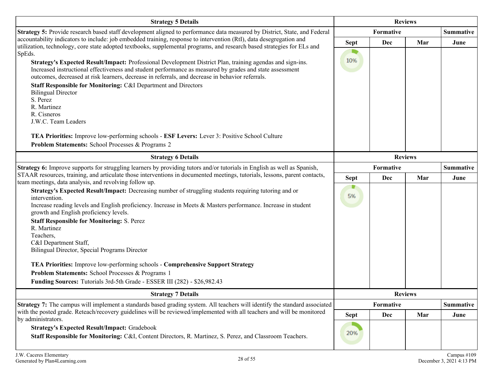| <b>Strategy 5 Details</b>                                                                                                                                                                                                                                                                                        | <b>Reviews</b> |           |                |                  |
|------------------------------------------------------------------------------------------------------------------------------------------------------------------------------------------------------------------------------------------------------------------------------------------------------------------|----------------|-----------|----------------|------------------|
| Strategy 5: Provide research based staff development aligned to performance data measured by District, State, and Federal                                                                                                                                                                                        |                | Formative |                | <b>Summative</b> |
| accountability indicators to include: job embedded training, response to intervention (RtI), data desegregation and<br>utilization, technology, core state adopted textbooks, supplemental programs, and research based strategies for ELs and                                                                   | <b>Sept</b>    | Dec       | Mar            | June             |
| SpEds.                                                                                                                                                                                                                                                                                                           |                |           |                |                  |
| Strategy's Expected Result/Impact: Professional Development District Plan, training agendas and sign-ins.                                                                                                                                                                                                        | 10%            |           |                |                  |
| Increased instructional effectiveness and student performance as measured by grades and state assessment<br>outcomes, decreased at risk learners, decrease in referrals, and decrease in behavior referrals.                                                                                                     |                |           |                |                  |
| Staff Responsible for Monitoring: C&I Department and Directors                                                                                                                                                                                                                                                   |                |           |                |                  |
| <b>Bilingual Director</b><br>S. Perez                                                                                                                                                                                                                                                                            |                |           |                |                  |
| R. Martinez                                                                                                                                                                                                                                                                                                      |                |           |                |                  |
| R. Cisneros                                                                                                                                                                                                                                                                                                      |                |           |                |                  |
| J.W.C. Team Leaders                                                                                                                                                                                                                                                                                              |                |           |                |                  |
| TEA Priorities: Improve low-performing schools - ESF Levers: Lever 3: Positive School Culture                                                                                                                                                                                                                    |                |           |                |                  |
| Problem Statements: School Processes & Programs 2                                                                                                                                                                                                                                                                |                |           |                |                  |
| <b>Strategy 6 Details</b>                                                                                                                                                                                                                                                                                        | <b>Reviews</b> |           |                |                  |
| Strategy 6: Improve supports for struggling learners by providing tutors and/or tutorials in English as well as Spanish,<br>STAAR resources, training, and articulate those interventions in documented meetings, tutorials, lessons, parent contacts,<br>team meetings, data analysis, and revolving follow up. | Formative      |           |                | <b>Summative</b> |
|                                                                                                                                                                                                                                                                                                                  | <b>Sept</b>    | Dec       | Mar            | June             |
| Strategy's Expected Result/Impact: Decreasing number of struggling students requiring tutoring and or                                                                                                                                                                                                            |                |           |                |                  |
| intervention.<br>Increase reading levels and English proficiency. Increase in Meets & Masters performance. Increase in student                                                                                                                                                                                   | 5%             |           |                |                  |
| growth and English proficiency levels.                                                                                                                                                                                                                                                                           |                |           |                |                  |
| <b>Staff Responsible for Monitoring: S. Perez</b>                                                                                                                                                                                                                                                                |                |           |                |                  |
| R. Martinez<br>Teachers,                                                                                                                                                                                                                                                                                         |                |           |                |                  |
| C&I Department Staff,                                                                                                                                                                                                                                                                                            |                |           |                |                  |
| Bilingual Director, Special Programs Director                                                                                                                                                                                                                                                                    |                |           |                |                  |
| TEA Priorities: Improve low-performing schools - Comprehensive Support Strategy                                                                                                                                                                                                                                  |                |           |                |                  |
| Problem Statements: School Processes & Programs 1                                                                                                                                                                                                                                                                |                |           |                |                  |
| Funding Sources: Tutorials 3rd-5th Grade - ESSER III (282) - \$26,982.43                                                                                                                                                                                                                                         |                |           |                |                  |
| <b>Strategy 7 Details</b>                                                                                                                                                                                                                                                                                        |                |           | <b>Reviews</b> |                  |
| Strategy 7: The campus will implement a standards based grading system. All teachers will identify the standard associated                                                                                                                                                                                       |                | Formative |                | <b>Summative</b> |
| with the posted grade. Reteach/recovery guidelines will be reviewed/implemented with all teachers and will be monitored<br>by administrators.                                                                                                                                                                    | <b>Sept</b>    | Dec       | Mar            | June             |
| <b>Strategy's Expected Result/Impact: Gradebook</b>                                                                                                                                                                                                                                                              |                |           |                |                  |
| Staff Responsible for Monitoring: C&I, Content Directors, R. Martinez, S. Perez, and Classroom Teachers.                                                                                                                                                                                                         | 20%            |           |                |                  |
|                                                                                                                                                                                                                                                                                                                  |                |           |                |                  |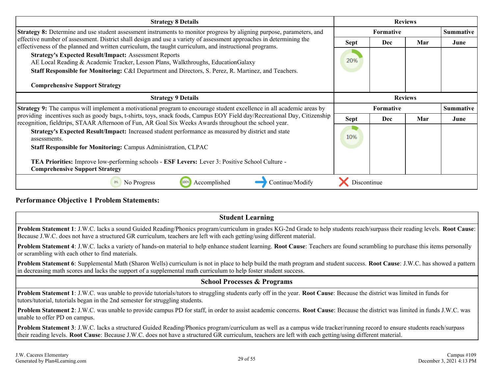| <b>Strategy 8 Details</b>                                                                                                                                                                                                         | <b>Reviews</b> |                  |     |                  |
|-----------------------------------------------------------------------------------------------------------------------------------------------------------------------------------------------------------------------------------|----------------|------------------|-----|------------------|
| <b>Strategy 8:</b> Determine and use student assessment instruments to monitor progress by aligning purpose, parameters, and                                                                                                      |                | Formative        |     | <b>Summative</b> |
| effective number of assessment. District shall design and use a variety of assessment approaches in determining the<br>effectiveness of the planned and written curriculum, the taught curriculum, and instructional programs.    | <b>Sept</b>    | Dec              | Mar | June             |
| <b>Strategy's Expected Result/Impact: Assessment Reports</b><br>AE Local Reading & Academic Tracker, Lesson Plans, Walkthroughs, EducationGalaxy                                                                                  | 20%            |                  |     |                  |
| Staff Responsible for Monitoring: C&I Department and Directors, S. Perez, R. Martinez, and Teachers.                                                                                                                              |                |                  |     |                  |
| <b>Comprehensive Support Strategy</b>                                                                                                                                                                                             |                |                  |     |                  |
| <b>Strategy 9 Details</b>                                                                                                                                                                                                         |                | <b>Reviews</b>   |     |                  |
| <b>Strategy 9:</b> The campus will implement a motivational program to encourage student excellence in all academic areas by                                                                                                      |                | <b>Formative</b> |     | <b>Summative</b> |
| providing incentives such as goody bags, t-shirts, toys, snack foods, Campus EOY Field day/Recreational Day, Citizenship<br>recognition, fieldtrips, STAAR Afternoon of Fun, AR Goal Six Weeks Awards throughout the school year. | <b>Sept</b>    | Dec              | Mar | June             |
|                                                                                                                                                                                                                                   |                |                  |     |                  |
| Strategy's Expected Result/Impact: Increased student performance as measured by district and state<br>assessments.                                                                                                                | 10%            |                  |     |                  |
| <b>Staff Responsible for Monitoring: Campus Administration, CLPAC</b>                                                                                                                                                             |                |                  |     |                  |
| <b>TEA Priorities:</b> Improve low-performing schools - <b>ESF Levers:</b> Lever 3: Positive School Culture -<br><b>Comprehensive Support Strategy</b>                                                                            |                |                  |     |                  |

**Performance Objective 1 Problem Statements:**

#### **Student Learning**

**Problem Statement 1**: J.W.C. lacks a sound Guided Reading/Phonics program/curriculum in grades KG-2nd Grade to help students reach/surpass their reading levels. **Root Cause**: Because J.W.C. does not have a structured GR curriculum, teachers are left with each getting/using different material.

**Problem Statement 4**: J.W.C. lacks a variety of hands-on material to help enhance student learning. **Root Cause**: Teachers are found scrambling to purchase this items personally or scrambling with each other to find materials.

**Problem Statement 6**: Supplemental Math (Sharon Wells) curriculum is not in place to help build the math program and student success. **Root Cause**: J.W.C. has showed a pattern in decreasing math scores and lacks the support of a supplemental math curriculum to help foster student success.

#### **School Processes & Programs**

**Problem Statement 1**: J.W.C. was unable to provide tutorials/tutors to struggling students early off in the year. **Root Cause**: Because the district was limited in funds for tutors/tutorial, tutorials began in the 2nd semester for struggling students.

**Problem Statement 2**: J.W.C. was unable to provide campus PD for staff, in order to assist academic concerns. **Root Cause**: Because the district was limited in funds J.W.C. was unable to offer PD on campus.

**Problem Statement 3**: J.W.C. lacks a structured Guided Reading/Phonics program/curriculum as well as a campus wide tracker/running record to ensure students reach/surpass their reading levels. **Root Cause**: Because J.W.C. does not have a structured GR curriculum, teachers are left with each getting/using different material.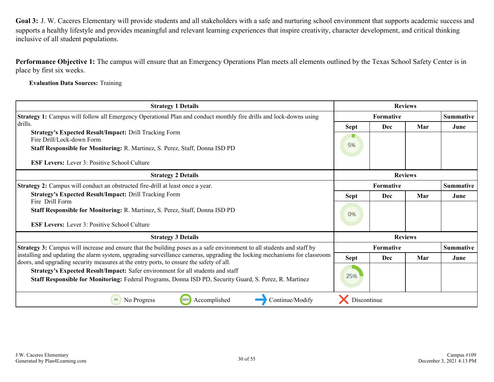<span id="page-29-0"></span>**Performance Objective 1:** The campus will ensure that an Emergency Operations Plan meets all elements outlined by the Texas School Safety Center is in place by first six weeks.

**Evaluation Data Sources:** Training

| <b>Strategy 1 Details</b>                                                                                                                                                                                           | <b>Reviews</b>                |                  |                |                  |
|---------------------------------------------------------------------------------------------------------------------------------------------------------------------------------------------------------------------|-------------------------------|------------------|----------------|------------------|
| Strategy 1: Campus will follow all Emergency Operational Plan and conduct monthly fire drills and lock-downs using                                                                                                  | Summative<br><b>Formative</b> |                  |                |                  |
| drills.                                                                                                                                                                                                             | Sept                          | Dec              | Mar            | June             |
| <b>Strategy's Expected Result/Impact: Drill Tracking Form</b><br>Fire Drill/Lock-down Form                                                                                                                          |                               |                  |                |                  |
| Staff Responsible for Monitoring: R. Martinez, S. Perez, Staff, Donna ISD PD                                                                                                                                        | 5%                            |                  |                |                  |
| <b>ESF Levers:</b> Lever 3: Positive School Culture                                                                                                                                                                 |                               |                  |                |                  |
| <b>Strategy 2 Details</b>                                                                                                                                                                                           | <b>Reviews</b>                |                  |                |                  |
| <b>Strategy 2:</b> Campus will conduct an obstructed fire-drill at least once a year.                                                                                                                               |                               | <b>Formative</b> |                | <b>Summative</b> |
| <b>Strategy's Expected Result/Impact: Drill Tracking Form</b>                                                                                                                                                       | Sept                          | Dec              | Mar            | June             |
| Fire Drill Form<br>Staff Responsible for Monitoring: R. Martinez, S. Perez, Staff, Donna ISD PD                                                                                                                     | 0%                            |                  |                |                  |
| <b>ESF Levers:</b> Lever 3: Positive School Culture                                                                                                                                                                 |                               |                  |                |                  |
| <b>Strategy 3 Details</b>                                                                                                                                                                                           |                               |                  | <b>Reviews</b> |                  |
| Strategy 3: Campus will increase and ensure that the building poses as a safe environment to all students and staff by                                                                                              |                               | <b>Formative</b> |                | Summative        |
| installing and updating the alarm system, upgrading surveillance cameras, upgrading the locking mechanisms for classroom<br>doors, and upgrading security measures at the entry ports, to ensure the safety of all. | Sept                          | Dec              | Mar            | June             |
| Strategy's Expected Result/Impact: Safer environment for all students and staff<br>Staff Responsible for Monitoring: Federal Programs, Donna ISD PD, Security Guard, S. Perez, R. Martinez                          | 25%                           |                  |                |                  |
| No Progress<br>1009<br>Accomplished<br>0%<br>Continue/Modify                                                                                                                                                        | Discontinue                   |                  |                |                  |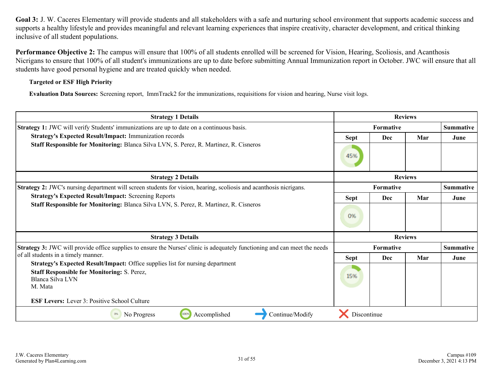**Performance Objective 2:** The campus will ensure that 100% of all students enrolled will be screened for Vision, Hearing, Scoliosis, and Acanthosis Nicrigans to ensure that 100% of all student's immunizations are up to date before submitting Annual Immunization report in October. JWC will ensure that all students have good personal hygiene and are treated quickly when needed.

#### **Targeted or ESF High Priority**

**Evaluation Data Sources:** Screening report, ImmTrack2 for the immunizations, requisitions for vision and hearing, Nurse visit logs.

| <b>Strategy 1 Details</b>                                                                                                                                           | <b>Reviews</b>   |                  |                |                  |
|---------------------------------------------------------------------------------------------------------------------------------------------------------------------|------------------|------------------|----------------|------------------|
| Strategy 1: JWC will verify Students' immunizations are up to date on a continuous basis.                                                                           | <b>Formative</b> |                  |                | <b>Summative</b> |
| <b>Strategy's Expected Result/Impact: Immunization records</b>                                                                                                      | <b>Sept</b>      | Dec              | Mar            | June             |
| Staff Responsible for Monitoring: Blanca Silva LVN, S. Perez, R. Martinez, R. Cisneros                                                                              | 45%              |                  |                |                  |
| <b>Strategy 2 Details</b>                                                                                                                                           |                  |                  | <b>Reviews</b> |                  |
| <b>Strategy 2:</b> JWC's nursing department will screen students for vision, hearing, scoliosis and acanthosis nicrigans.                                           |                  | <b>Formative</b> |                | Summative        |
| <b>Strategy's Expected Result/Impact: Screening Reports</b>                                                                                                         | <b>Sept</b>      | Dec              | Mar            | June             |
| Staff Responsible for Monitoring: Blanca Silva LVN, S. Perez, R. Martinez, R. Cisneros                                                                              | 0%               |                  |                |                  |
| <b>Strategy 3 Details</b>                                                                                                                                           |                  |                  | <b>Reviews</b> |                  |
| <b>Strategy 3:</b> JWC will provide office supplies to ensure the Nurses' clinic is adequately functioning and can meet the needs                                   |                  | <b>Formative</b> |                | <b>Summative</b> |
| of all students in a timely manner.                                                                                                                                 | <b>Sept</b>      | Dec              | Mar            | June             |
| Strategy's Expected Result/Impact: Office supplies list for nursing department<br><b>Staff Responsible for Monitoring: S. Perez,</b><br>Blanca Silva LVN<br>M. Mata | 15%              |                  |                |                  |
| <b>ESF Levers:</b> Lever 3: Positive School Culture                                                                                                                 |                  |                  |                |                  |
| 100%<br>Accomplished<br>Continue/Modify<br>0%<br>No Progress                                                                                                        | Discontinue      |                  |                |                  |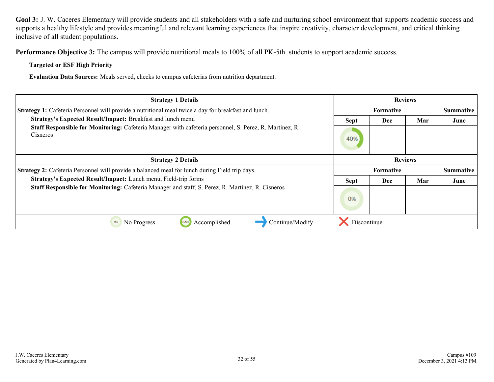**Performance Objective 3:** The campus will provide nutritional meals to 100% of all PK-5th students to support academic success.

**Targeted or ESF High Priority**

**Evaluation Data Sources:** Meals served, checks to campus cafeterias from nutrition department.

| <b>Strategy 1 Details</b>                                                                                                  | <b>Reviews</b> |                  |     |           |
|----------------------------------------------------------------------------------------------------------------------------|----------------|------------------|-----|-----------|
| Strategy 1: Cafeteria Personnel will provide a nutritional meal twice a day for breakfast and lunch.                       |                | Summative        |     |           |
| Strategy's Expected Result/Impact: Breakfast and lunch menu                                                                | <b>Sept</b>    | Dec              | Mar | June      |
| <b>Staff Responsible for Monitoring:</b> Cafeteria Manager with cafeteria personnel, S. Perez, R. Martinez, R.<br>Cisneros | 40%            |                  |     |           |
| <b>Strategy 2 Details</b>                                                                                                  | <b>Reviews</b> |                  |     |           |
| Strategy 2: Cafeteria Personnel will provide a balanced meal for lunch during Field trip days.                             |                | <b>Formative</b> |     | Summative |
| Strategy's Expected Result/Impact: Lunch menu, Field-trip forms                                                            | <b>Sept</b>    | Dec              | Mar | June      |
| Staff Responsible for Monitoring: Cafeteria Manager and staff, S. Perez, R. Martinez, R. Cisneros                          | 0%             |                  |     |           |
| 0%<br>No Progress<br>Continue/Modify<br>Accomplished<br>100%                                                               | Discontinue    |                  |     |           |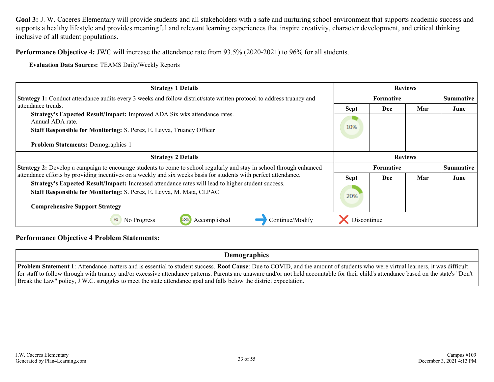**Performance Objective 4:** JWC will increase the attendance rate from 93.5% (2020-2021) to 96% for all students.

**Evaluation Data Sources:** TEAMS Daily/Weekly Reports

| <b>Strategy 1 Details</b>                                                                                                                                                                                           | <b>Reviews</b>                       |                  |                |      |
|---------------------------------------------------------------------------------------------------------------------------------------------------------------------------------------------------------------------|--------------------------------------|------------------|----------------|------|
| <b>Strategy 1:</b> Conduct attendance audits every 3 weeks and follow district/state written protocol to address truancy and                                                                                        |                                      | <b>Summative</b> |                |      |
| attendance trends.<br>Strategy's Expected Result/Impact: Improved ADA Six wks attendance rates.<br>Annual ADA rate.<br>Staff Responsible for Monitoring: S. Perez, E. Leyva, Truancy Officer                        | <b>Sept</b><br>10%                   | Dec              | Mar            | June |
| <b>Problem Statements: Demographics 1</b>                                                                                                                                                                           |                                      |                  |                |      |
| <b>Strategy 2 Details</b>                                                                                                                                                                                           |                                      |                  | <b>Reviews</b> |      |
| <b>Strategy 2:</b> Develop a campaign to encourage students to come to school regularly and stay in school through enhanced                                                                                         | <b>Summative</b><br><b>Formative</b> |                  |                |      |
| attendance efforts by providing incentives on a weekly and six weeks basis for students with perfect attendance.                                                                                                    | <b>Sept</b>                          | Dec              | Mar            | June |
| Strategy's Expected Result/Impact: Increased attendance rates will lead to higher student success.<br>Staff Responsible for Monitoring: S. Perez, E. Leyva, M. Mata, CLPAC<br><b>Comprehensive Support Strategy</b> | 20%                                  |                  |                |      |
| 0%<br>Accomplished<br>Continue/Modify<br>No Progress                                                                                                                                                                | Discontinue                          |                  |                |      |

**Performance Objective 4 Problem Statements:**

**Demographics**

**Problem Statement 1**: Attendance matters and is essential to student success. **Root Cause**: Due to COVID, and the amount of students who were virtual learners, it was difficult for staff to follow through with truancy and/or excessive attendance patterns. Parents are unaware and/or not held accountable for their child's attendance based on the state's "Don't Break the Law" policy, J.W.C. struggles to meet the state attendance goal and falls below the district expectation.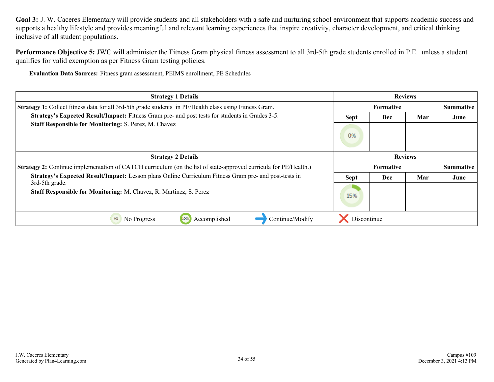Performance Objective 5: JWC will administer the Fitness Gram physical fitness assessment to all 3rd-5th grade students enrolled in P.E. unless a student qualifies for valid exemption as per Fitness Gram testing policies.

**Evaluation Data Sources:** Fitness gram assessment, PEIMS enrollment, PE Schedules

| <b>Strategy 1 Details</b>                                                                                               | <b>Reviews</b> |                                      |     |           |  |
|-------------------------------------------------------------------------------------------------------------------------|----------------|--------------------------------------|-----|-----------|--|
| Strategy 1: Collect fitness data for all 3rd-5th grade students in PE/Health class using Fitness Gram.                  |                | <b>Summative</b><br><b>Formative</b> |     |           |  |
| Strategy's Expected Result/Impact: Fitness Gram pre- and post tests for students in Grades 3-5.                         | <b>Sept</b>    | Dec                                  | Mar | June      |  |
| <b>Staff Responsible for Monitoring: S. Perez, M. Chavez</b>                                                            | 0%             |                                      |     |           |  |
| <b>Strategy 2 Details</b>                                                                                               | <b>Reviews</b> |                                      |     |           |  |
| <b>Strategy 2:</b> Continue implementation of CATCH curriculum (on the list of state-approved curricula for PE/Health.) |                | <b>Formative</b>                     |     | Summative |  |
| Strategy's Expected Result/Impact: Lesson plans Online Curriculum Fitness Gram pre- and post-tests in                   | <b>Sept</b>    | Dec                                  | Mar | June      |  |
| 3rd-5th grade.<br>Staff Responsible for Monitoring: M. Chavez, R. Martinez, S. Perez                                    | 15%            |                                      |     |           |  |
| Continue/Modify<br>0%<br>No Progress<br>100%<br>Accomplished                                                            | Discontinue    |                                      |     |           |  |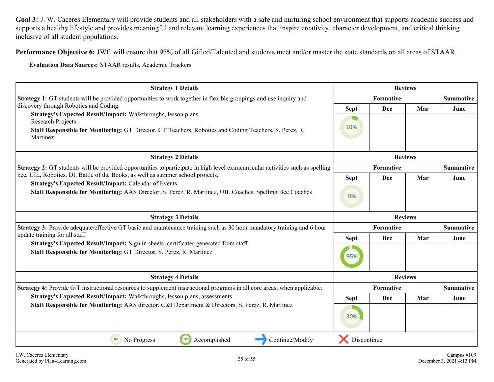**Performance Objective 6:** JWC will ensure that 97% of all Gifted/Talented and students meet and/or master the state standards on all areas of STAAR.

**Evaluation Data Sources:** STAAR results, Academic Trackers

| <b>Strategy 1 Details</b>                                                                                                                       | <b>Reviews</b>                |            |                |                  |
|-------------------------------------------------------------------------------------------------------------------------------------------------|-------------------------------|------------|----------------|------------------|
| Strategy 1: GT students will be provided opportunities to work together in flexible groupings and use inquiry and                               | Formative<br><b>Summative</b> |            |                |                  |
| discovery through Robotics and Coding.<br>Strategy's Expected Result/Impact: Walkthroughs, lesson plans                                         | <b>Sept</b>                   | Dec        | Mar            | June             |
| <b>Research Projects</b>                                                                                                                        |                               |            |                |                  |
| <b>Staff Responsible for Monitoring:</b> GT Director, GT Teachers, Robotics and Coding Teachers, S. Perez, R.<br>Martinez                       | 10%                           |            |                |                  |
| <b>Strategy 2 Details</b>                                                                                                                       |                               |            | <b>Reviews</b> |                  |
| <b>Strategy 2:</b> GT students will be provided opportunities to participate in high level extracurricular activities such as spelling          |                               | Formative  |                | <b>Summative</b> |
| bee, UIL, Robotics, DI, Battle of the Books, as well as summer school projects.<br><b>Strategy's Expected Result/Impact: Calendar of Events</b> | <b>Sept</b>                   | <b>Dec</b> | Mar            | June             |
| Staff Responsible for Monitoring: AAS Director, S. Perez, R. Martinez, UIL Coaches, Spelling Bee Coaches                                        | 0%                            |            |                |                  |
| <b>Strategy 3 Details</b>                                                                                                                       |                               |            | <b>Reviews</b> |                  |
| Strategy 3: Provide adequate/effective GT basic and maintenance training such as 30 hour mandatory training and 6 hour                          |                               | Formative  |                | <b>Summative</b> |
| update training for all staff.<br>Strategy's Expected Result/Impact: Sign in sheets, certificates generated from staff.                         | <b>Sept</b>                   | <b>Dec</b> | Mar            | June             |
| Staff Responsible for Monitoring: GT Director, S. Perez, R. Martinez                                                                            | 95%                           |            |                |                  |
| <b>Strategy 4 Details</b>                                                                                                                       |                               |            | <b>Reviews</b> |                  |
| Strategy 4: Provide G/T instructional resources to supplement instructional programs in all core areas, when applicable.                        |                               | Formative  |                | <b>Summative</b> |
| Strategy's Expected Result/Impact: Walkthroughs, lesson plans, assessments                                                                      | <b>Sept</b>                   | <b>Dec</b> | Mar            | June             |
| Staff Responsible for Monitoring: AAS director, C&I Department & Directors, S. Perez, R. Martinez                                               | 30%                           |            |                |                  |
| 100%<br>0%<br>No Progress<br>Accomplished<br>Continue/Modify                                                                                    | Discontinue                   |            |                |                  |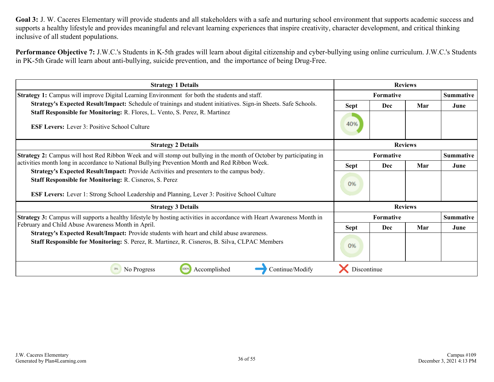**Performance Objective 7:** J.W.C.'s Students in K-5th grades will learn about digital citizenship and cyber-bullying using online curriculum. J.W.C.'s Students in PK-5th Grade will learn about anti-bullying, suicide prevention, and the importance of being Drug-Free.

| <b>Strategy 1 Details</b>                                                                                                                                  | <b>Reviews</b>   |                  |                |                  |
|------------------------------------------------------------------------------------------------------------------------------------------------------------|------------------|------------------|----------------|------------------|
| Strategy 1: Campus will improve Digital Learning Environment for both the students and staff.                                                              | <b>Formative</b> |                  |                | <b>Summative</b> |
| Strategy's Expected Result/Impact: Schedule of trainings and student initiatives. Sign-in Sheets. Safe Schools.                                            | <b>Sept</b>      | <b>Dec</b>       | Mar            | June             |
| Staff Responsible for Monitoring: R. Flores, L. Vento, S. Perez, R. Martinez                                                                               |                  |                  |                |                  |
| <b>ESF Levers:</b> Lever 3: Positive School Culture                                                                                                        | 40%              |                  |                |                  |
| <b>Strategy 2 Details</b>                                                                                                                                  | <b>Reviews</b>   |                  |                |                  |
| <b>Strategy 2:</b> Campus will host Red Ribbon Week and will stomp out bullying in the month of October by participating in                                | <b>Formative</b> |                  |                | <b>Summative</b> |
| activities month long in accordance to National Bullying Prevention Month and Red Ribbon Week.                                                             | <b>Sept</b>      | Dec              | Mar            | June             |
| Strategy's Expected Result/Impact: Provide Activities and presenters to the campus body.<br><b>Staff Responsible for Monitoring: R. Cisneros, S. Perez</b> |                  |                  |                |                  |
|                                                                                                                                                            | 0%               |                  |                |                  |
| <b>ESF Levers:</b> Lever 1: Strong School Leadership and Planning, Lever 3: Positive School Culture                                                        |                  |                  |                |                  |
| <b>Strategy 3 Details</b>                                                                                                                                  |                  |                  | <b>Reviews</b> |                  |
| Strategy 3: Campus will supports a healthy lifestyle by hosting activities in accordance with Heart Awareness Month in                                     |                  | <b>Formative</b> |                | <b>Summative</b> |
| February and Child Abuse Awareness Month in April.                                                                                                         | <b>Sept</b>      | Dec              | Mar            | June             |
| Strategy's Expected Result/Impact: Provide students with heart and child abuse awareness.                                                                  |                  |                  |                |                  |
| <b>Staff Responsible for Monitoring:</b> S. Perez, R. Martinez, R. Cisneros, B. Silva, CLPAC Members                                                       | 0%               |                  |                |                  |
| 100%<br>Accomplished<br>Continue/Modify<br>No Progress                                                                                                     | Discontinue      |                  |                |                  |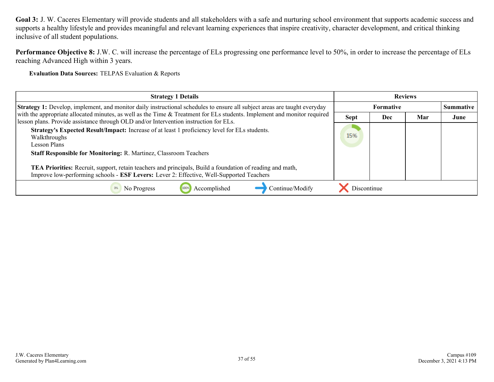**Performance Objective 8:** J.W. C. will increase the percentage of ELs progressing one performance level to 50%, in order to increase the percentage of ELs reaching Advanced High within 3 years.

**Evaluation Data Sources:** TELPAS Evaluation & Reports

| <b>Strategy 1 Details</b>                                                                                                                                                                                                                                                                                                                                                                                                 | <b>Reviews</b> |            |     |                  |
|---------------------------------------------------------------------------------------------------------------------------------------------------------------------------------------------------------------------------------------------------------------------------------------------------------------------------------------------------------------------------------------------------------------------------|----------------|------------|-----|------------------|
| <b>Strategy 1:</b> Develop, implement, and monitor daily instructional schedules to ensure all subject areas are taught everyday                                                                                                                                                                                                                                                                                          |                | Formative  |     | <b>Summative</b> |
| with the appropriate allocated minutes, as well as the Time & Treatment for ELs students. Implement and monitor required<br>lesson plans. Provide assistance through OLD and/or Intervention instruction for ELs.                                                                                                                                                                                                         | <b>Sept</b>    | <b>Dec</b> | Mar | June             |
| Strategy's Expected Result/Impact: Increase of at least 1 proficiency level for ELs students.<br>Walkthroughs<br>Lesson Plans<br><b>Staff Responsible for Monitoring: R. Martinez, Classroom Teachers</b><br><b>TEA Priorities:</b> Recruit, support, retain teachers and principals, Build a foundation of reading and math,<br>Improve low-performing schools - ESF Levers: Lever 2: Effective, Well-Supported Teachers | 15%            |            |     |                  |
| Accomplished<br>No Progress<br>Continue/Modify                                                                                                                                                                                                                                                                                                                                                                            | Discontinue    |            |     |                  |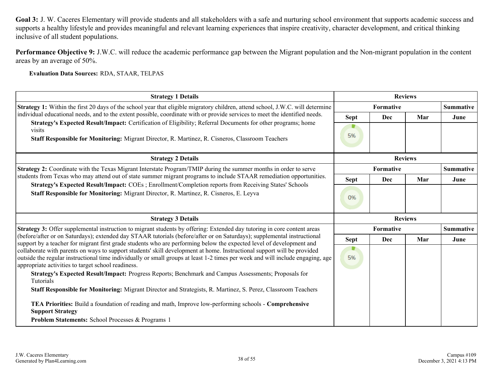**Performance Objective 9:** J.W.C. will reduce the academic performance gap between the Migrant population and the Non-migrant population in the content areas by an average of 50%.

**Evaluation Data Sources:** RDA, STAAR, TELPAS

| <b>Strategy 1 Details</b>                                                                                                                                                                                                                       | <b>Reviews</b> |                               |     |                  |
|-------------------------------------------------------------------------------------------------------------------------------------------------------------------------------------------------------------------------------------------------|----------------|-------------------------------|-----|------------------|
| Strategy 1: Within the first 20 days of the school year that eligible migratory children, attend school, J.W.C. will determine                                                                                                                  |                | Formative<br><b>Summative</b> |     |                  |
| individual educational needs, and to the extent possible, coordinate with or provide services to meet the identified needs.                                                                                                                     | Sept           | Dec                           | Mar | June             |
| Strategy's Expected Result/Impact: Certification of Eligibility; Referral Documents for other programs; home<br>visits                                                                                                                          |                |                               |     |                  |
| <b>Staff Responsible for Monitoring:</b> Migrant Director, R. Martinez, R. Cisneros, Classroom Teachers                                                                                                                                         | 5%             |                               |     |                  |
| <b>Strategy 2 Details</b>                                                                                                                                                                                                                       |                | <b>Reviews</b>                |     |                  |
| Strategy 2: Coordinate with the Texas Migrant Interstate Program/TMIP during the summer months in order to serve                                                                                                                                |                | Formative                     |     | <b>Summative</b> |
| students from Texas who may attend out of state summer migrant programs to include STAAR remediation opportunities.                                                                                                                             | Sept           | <b>Dec</b>                    | Mar | June             |
| Strategy's Expected Result/Impact: COEs; Enrollment/Completion reports from Receiving States' Schools<br><b>Staff Responsible for Monitoring:</b> Migrant Director, R. Martinez, R. Cisneros, E. Leyva                                          |                |                               |     |                  |
|                                                                                                                                                                                                                                                 | 0%             |                               |     |                  |
|                                                                                                                                                                                                                                                 |                |                               |     |                  |
| <b>Strategy 3 Details</b>                                                                                                                                                                                                                       |                | <b>Reviews</b>                |     |                  |
| Strategy 3: Offer supplemental instruction to migrant students by offering: Extended day tutoring in core content areas                                                                                                                         |                | Formative                     |     | <b>Summative</b> |
| (before/after or on Saturdays); extended day STAAR tutorials (before/after or on Saturdays); supplemental instructional                                                                                                                         | <b>Sept</b>    | Dec                           | Mar | June             |
| support by a teacher for migrant first grade students who are performing below the expected level of development and<br>collaborate with parents on ways to support students' skill development at home. Instructional support will be provided |                |                               |     |                  |
| outside the regular instructional time individually or small groups at least 1-2 times per week and will include engaging, age<br>appropriate activities to target school readiness.                                                            | 5%             |                               |     |                  |
| Strategy's Expected Result/Impact: Progress Reports; Benchmark and Campus Assessments; Proposals for<br>Tutorials                                                                                                                               |                |                               |     |                  |
| Staff Responsible for Monitoring: Migrant Director and Strategists, R. Martinez, S. Perez, Classroom Teachers                                                                                                                                   |                |                               |     |                  |
| TEA Priorities: Build a foundation of reading and math, Improve low-performing schools - Comprehensive<br><b>Support Strategy</b>                                                                                                               |                |                               |     |                  |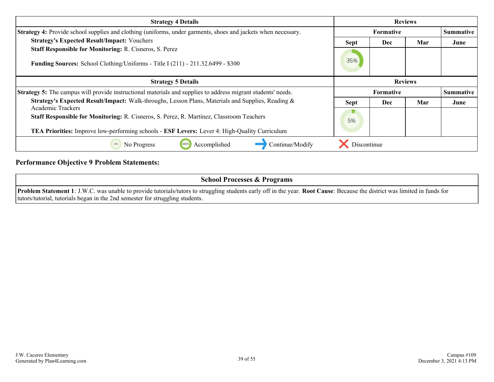| <b>Strategy 4 Details</b>                                                                                           | <b>Reviews</b> |                  |     |                  |
|---------------------------------------------------------------------------------------------------------------------|----------------|------------------|-----|------------------|
| Strategy 4: Provide school supplies and clothing (uniforms, under garments, shoes and jackets when necessary.       | Formative      |                  |     | <b>Summative</b> |
| <b>Strategy's Expected Result/Impact: Vouchers</b>                                                                  | <b>Sept</b>    | Dec              | Mar | June             |
| <b>Staff Responsible for Monitoring: R. Cisneros, S. Perez</b>                                                      |                |                  |     |                  |
| <b>Funding Sources:</b> School Clothing/Uniforms - Title I (211) - 211.32.6499 - \$300                              | 35%            |                  |     |                  |
| <b>Strategy 5 Details</b>                                                                                           | <b>Reviews</b> |                  |     |                  |
| <b>Strategy 5:</b> The campus will provide instructional materials and supplies to address migrant students' needs. |                | <b>Formative</b> |     | <b>Summative</b> |
| <b>Strategy's Expected Result/Impact:</b> Walk-throughs, Lesson Plans, Materials and Supplies, Reading &            | <b>Sept</b>    | Dec              | Mar | June             |
| <b>Academic Trackers</b>                                                                                            |                |                  |     |                  |
| Staff Responsible for Monitoring: R. Cisneros, S. Perez, R. Martinez, Classroom Teachers                            | 5%             |                  |     |                  |
| <b>TEA Priorities:</b> Improve low-performing schools - <b>ESF Levers:</b> Lever 4: High-Quality Curriculum         |                |                  |     |                  |
| No Progress<br>Accomplished<br>Continue/Modify<br>0%                                                                | Discontinue    |                  |     |                  |

### **Performance Objective 9 Problem Statements:**

| <b>School Processes &amp; Programs</b>                                                                                                                                             |
|------------------------------------------------------------------------------------------------------------------------------------------------------------------------------------|
| <b>Problem Statement 1</b> : J.W.C. was unable to provide tutorials/tutors to struggling students early off in the year. Root Cause: Because the district was limited in funds for |
| tutors/tutorial, tutorials began in the 2nd semester for struggling students.                                                                                                      |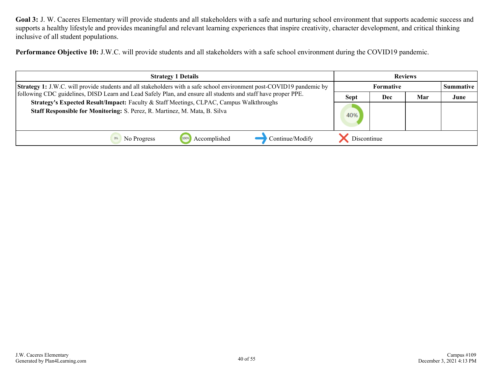**Performance Objective 10:** J.W.C. will provide students and all stakeholders with a safe school environment during the COVID19 pandemic.

| <b>Strategy 1 Details</b>                                                                                                                                             | <b>Reviews</b>   |     |     |                  |
|-----------------------------------------------------------------------------------------------------------------------------------------------------------------------|------------------|-----|-----|------------------|
| Strategy 1: J.W.C. will provide students and all stakeholders with a safe school environment post-COVID19 pandemic by                                                 | <b>Formative</b> |     |     | <b>Summative</b> |
| following CDC guidelines, DISD Learn and Lead Safely Plan, and ensure all students and staff have proper PPE.                                                         | <b>Sept</b>      | Dec | Mar | June             |
| Strategy's Expected Result/Impact: Faculty & Staff Meetings, CLPAC, Campus Walkthroughs<br>Staff Responsible for Monitoring: S. Perez, R. Martinez, M. Mata, B. Silva | 40%              |     |     |                  |
| Continue/Modify<br>Accomplished<br>No Progress                                                                                                                        | Discontinue      |     |     |                  |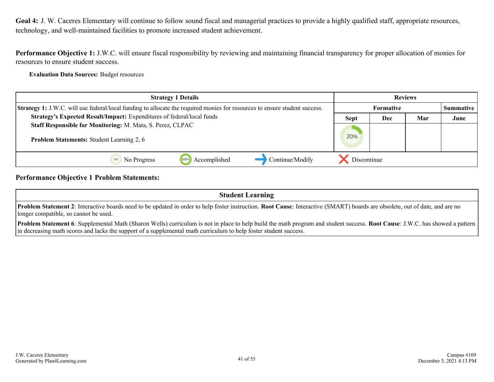<span id="page-40-0"></span>**Performance Objective 1:** J.W.C. will ensure fiscal responsibility by reviewing and maintaining financial transparency for proper allocation of monies for resources to ensure student success.

**Evaluation Data Sources:** Budget resources

| <b>Strategy 1 Details</b>                                                                                                  | <b>Reviews</b>            |  |      |                  |
|----------------------------------------------------------------------------------------------------------------------------|---------------------------|--|------|------------------|
| Strategy 1: J.W.C. will use federal/local funding to allocate the required monies for resources to ensure student success. | Formative                 |  |      | <b>Summative</b> |
| Strategy's Expected Result/Impact: Expenditures of federal/local funds                                                     | Mar<br>Dec<br><b>Sept</b> |  | June |                  |
| Staff Responsible for Monitoring: M. Mata, S. Perez, CLPAC<br><b>Problem Statements: Student Learning 2, 6</b>             | 20%                       |  |      |                  |
| Accomplished<br>Continue/Modify<br>1009<br>No Progress                                                                     | Discontinue               |  |      |                  |

#### **Performance Objective 1 Problem Statements:**

**Student Learning**

**Problem Statement 2**: Interactive boards need to be updated in order to help foster instruction. **Root Cause**: Interactive (SMART) boards are obsolete, out of date, and are no longer compatible, so cannot be used.

**Problem Statement 6**: Supplemental Math (Sharon Wells) curriculum is not in place to help build the math program and student success. **Root Cause**: J.W.C. has showed a pattern in decreasing math scores and lacks the support of a supplemental math curriculum to help foster student success.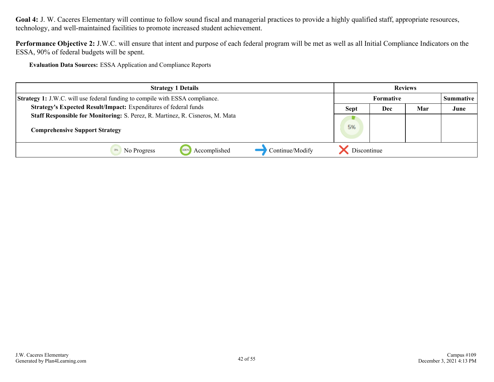**Performance Objective 2:** J.W.C. will ensure that intent and purpose of each federal program will be met as well as all Initial Compliance Indicators on the ESSA, 90% of federal budgets will be spent.

**Evaluation Data Sources:** ESSA Application and Compliance Reports

| <b>Strategy 1 Details</b>                                                           | <b>Reviews</b>   |     |     |                  |
|-------------------------------------------------------------------------------------|------------------|-----|-----|------------------|
| <b>Strategy 1:</b> J.W.C. will use federal funding to compile with ESSA compliance. | <b>Formative</b> |     |     | <b>Summative</b> |
| Strategy's Expected Result/Impact: Expenditures of federal funds                    | <b>Sept</b>      | Dec | Mar | June             |
| Staff Responsible for Monitoring: S. Perez, R. Martinez, R. Cisneros, M. Mata       |                  |     |     |                  |
| <b>Comprehensive Support Strategy</b>                                               | 5%               |     |     |                  |
| Continue/Modify<br>Accomplished<br>1009<br>No Progress                              | Discontinue      |     |     |                  |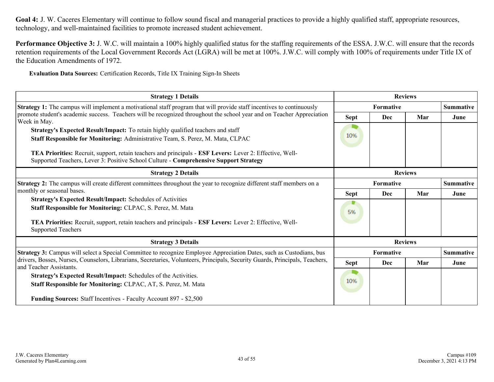**Performance Objective 3:** J. W.C. will maintain a 100% highly qualified status for the staffing requirements of the ESSA. J.W.C. will ensure that the records retention requirements of the Local Government Records Act (LGRA) will be met at 100%. J.W.C. will comply with 100% of requirements under Title IX of the Education Amendments of 1972.

**Evaluation Data Sources:** Certification Records, Title IX Training Sign-In Sheets

| <b>Strategy 1 Details</b>                                                                                                                               |                  | <b>Reviews</b> |     |                  |
|---------------------------------------------------------------------------------------------------------------------------------------------------------|------------------|----------------|-----|------------------|
| <b>Strategy 1:</b> The campus will implement a motivational staff program that will provide staff incentives to continuously                            | Formative        |                |     | <b>Summative</b> |
| promote student's academic success. Teachers will be recognized throughout the school year and on Teacher Appreciation<br>Week in May.                  | <b>Sept</b>      | Dec            | Mar | June             |
| <b>Strategy's Expected Result/Impact:</b> To retain highly qualified teachers and staff                                                                 |                  |                |     |                  |
| Staff Responsible for Monitoring: Administrative Team, S. Perez, M. Mata, CLPAC                                                                         | 10%              |                |     |                  |
| TEA Priorities: Recruit, support, retain teachers and principals - ESF Levers: Lever 2: Effective, Well-                                                |                  |                |     |                  |
| Supported Teachers, Lever 3: Positive School Culture - Comprehensive Support Strategy                                                                   |                  |                |     |                  |
| <b>Strategy 2 Details</b>                                                                                                                               | <b>Reviews</b>   |                |     |                  |
| <b>Strategy 2:</b> The campus will create different committees throughout the year to recognize different staff members on a                            | <b>Formative</b> |                |     | <b>Summative</b> |
| monthly or seasonal bases.                                                                                                                              | <b>Sept</b>      | Dec            | Mar | June             |
| <b>Strategy's Expected Result/Impact: Schedules of Activities</b>                                                                                       |                  |                |     |                  |
| Staff Responsible for Monitoring: CLPAC, S. Perez, M. Mata                                                                                              | 5%               |                |     |                  |
| TEA Priorities: Recruit, support, retain teachers and principals - ESF Levers: Lever 2: Effective, Well-<br><b>Supported Teachers</b>                   |                  |                |     |                  |
| <b>Strategy 3 Details</b>                                                                                                                               | <b>Reviews</b>   |                |     |                  |
| Strategy 3: Campus will select a Special Committee to recognize Employee Appreciation Dates, such as Custodians, bus                                    |                  | Formative      |     |                  |
| drivers, Bosses, Nurses, Counselors, Librarians, Secretaries, Volunteers, Principals, Security Guards, Principals, Teachers,<br>and Teacher Assistants. | <b>Sept</b>      | <b>Dec</b>     | Mar | June             |
| Strategy's Expected Result/Impact: Schedules of the Activities.                                                                                         |                  |                |     |                  |
| Staff Responsible for Monitoring: CLPAC, AT, S. Perez, M. Mata                                                                                          | 10%              |                |     |                  |
|                                                                                                                                                         |                  |                |     |                  |
| <b>Funding Sources:</b> Staff Incentives - Faculty Account 897 - \$2,500                                                                                |                  |                |     |                  |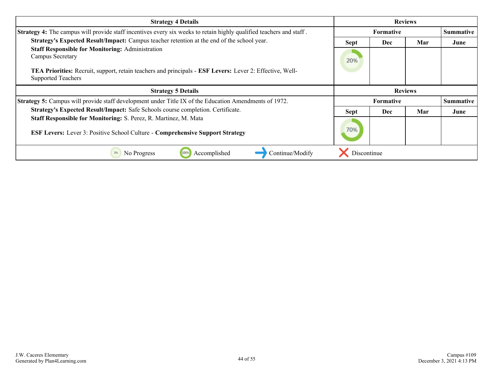| <b>Strategy 4 Details</b>                                                                                                                                | <b>Reviews</b> |            |                |                  |
|----------------------------------------------------------------------------------------------------------------------------------------------------------|----------------|------------|----------------|------------------|
| Strategy 4: The campus will provide staff incentives every six weeks to retain highly qualified teachers and staff.                                      | Formative      |            |                | <b>Summative</b> |
| Strategy's Expected Result/Impact: Campus teacher retention at the end of the school year.                                                               | <b>Sept</b>    | <b>Dec</b> | Mar            | June             |
| <b>Staff Responsible for Monitoring: Administration</b><br>Campus Secretary                                                                              | 20%            |            |                |                  |
| TEA Priorities: Recruit, support, retain teachers and principals - ESF Levers: Lever 2: Effective, Well-<br><b>Supported Teachers</b>                    |                |            |                |                  |
| <b>Strategy 5 Details</b>                                                                                                                                |                |            | <b>Reviews</b> |                  |
| <b>Strategy 5:</b> Campus will provide staff development under Title IX of the Education Amendments of 1972.                                             |                | Formative  |                | <b>Summative</b> |
| Strategy's Expected Result/Impact: Safe Schools course completion. Certificate.                                                                          | <b>Sept</b>    | Dec        | Mar            | June             |
| Staff Responsible for Monitoring: S. Perez, R. Martinez, M. Mata<br><b>ESF Levers: Lever 3: Positive School Culture - Comprehensive Support Strategy</b> | 70%            |            |                |                  |
| Continue/Modify<br>No Progress<br>Accomplished<br>0%<br>100%                                                                                             | Discontinue    |            |                |                  |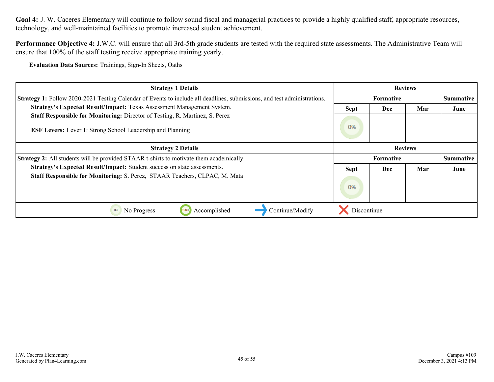**Performance Objective 4:** J.W.C. will ensure that all 3rd-5th grade students are tested with the required state assessments. The Administrative Team will ensure that 100% of the staff testing receive appropriate training yearly.

**Evaluation Data Sources:** Trainings, Sign-In Sheets, Oaths

| <b>Strategy 1 Details</b>                                                                                                                         | <b>Reviews</b>            |                  |                |                  |
|---------------------------------------------------------------------------------------------------------------------------------------------------|---------------------------|------------------|----------------|------------------|
| <b>Strategy 1:</b> Follow 2020-2021 Testing Calendar of Events to include all deadlines, submissions, and test administrations.                   | <b>Formative</b>          |                  |                | Summative        |
| Strategy's Expected Result/Impact: Texas Assessment Management System.                                                                            | Mar<br><b>Sept</b><br>Dec |                  |                | June             |
| Staff Responsible for Monitoring: Director of Testing, R. Martinez, S. Perez<br><b>ESF Levers:</b> Lever 1: Strong School Leadership and Planning | 0%                        |                  |                |                  |
| <b>Strategy 2 Details</b>                                                                                                                         |                           |                  | <b>Reviews</b> |                  |
| <b>Strategy 2:</b> All students will be provided STAAR t-shirts to motivate them academically.                                                    |                           | <b>Formative</b> |                | <b>Summative</b> |
| Strategy's Expected Result/Impact: Student success on state assessments.                                                                          | <b>Sept</b>               | Dec              | Mar            | June             |
| <b>Staff Responsible for Monitoring: S. Perez, STAAR Teachers, CLPAC, M. Mata</b>                                                                 | 0%                        |                  |                |                  |
| Continue/Modify<br>Accomplished<br>No Progress<br>0%<br>100%                                                                                      | Discontinue               |                  |                |                  |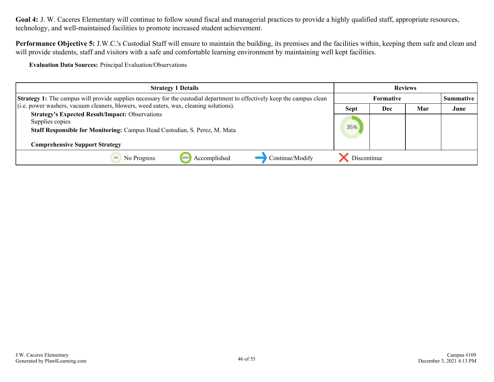Performance Objective 5: J.W.C.'s Custodial Staff will ensure to maintain the building, its premises and the facilities within, keeping them safe and clean and will provide students, staff and visitors with a safe and comfortable learning environment by maintaining well kept facilities.

**Evaluation Data Sources:** Principal Evaluation/Observations

| <b>Strategy 1 Details</b>                                                                                                                                                                 | <b>Reviews</b> |           |     |                  |
|-------------------------------------------------------------------------------------------------------------------------------------------------------------------------------------------|----------------|-----------|-----|------------------|
| <b>Strategy 1:</b> The campus will provide supplies necessary for the custodial department to effectively keep the campus clean                                                           |                | Formative |     | <b>Summative</b> |
| (i.e. power washers, vacuum cleaners, blowers, weed eaters, wax, cleaning solutions).                                                                                                     | <b>Sept</b>    | Dec       | Mar | June             |
| <b>Strategy's Expected Result/Impact: Observations</b><br>Supplies copies<br>Staff Responsible for Monitoring: Campus Head Custodian, S. Perez, M. Mata<br>Comprehensive Support Strategy | 35%            |           |     |                  |
| Continue/Modify<br>Accomplished<br>No Progress<br>1009                                                                                                                                    | Discontinue    |           |     |                  |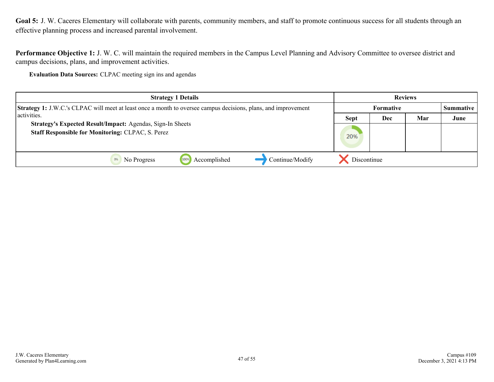<span id="page-46-0"></span>Goal 5: J. W. Caceres Elementary will collaborate with parents, community members, and staff to promote continuous success for all students through an effective planning process and increased parental involvement.

**Performance Objective 1:** J. W. C. will maintain the required members in the Campus Level Planning and Advisory Committee to oversee district and campus decisions, plans, and improvement activities.

**Evaluation Data Sources:** CLPAC meeting sign ins and agendas

| <b>Strategy 1 Details</b>                                                                                              | <b>Reviews</b>   |     |     |      |                  |
|------------------------------------------------------------------------------------------------------------------------|------------------|-----|-----|------|------------------|
| <b>Strategy 1:</b> J.W.C.'s CLPAC will meet at least once a month to oversee campus decisions, plans, and improvement  | <b>Formative</b> |     |     |      | <b>Summative</b> |
| activities.                                                                                                            | <b>Sept</b>      | Dec | Mar | June |                  |
| Strategy's Expected Result/Impact: Agendas, Sign-In Sheets<br><b>Staff Responsible for Monitoring: CLPAC, S. Perez</b> | 20%              |     |     |      |                  |
| Continue/Modify<br>Accomplished<br>1009<br>No Progress                                                                 | Discontinue      |     |     |      |                  |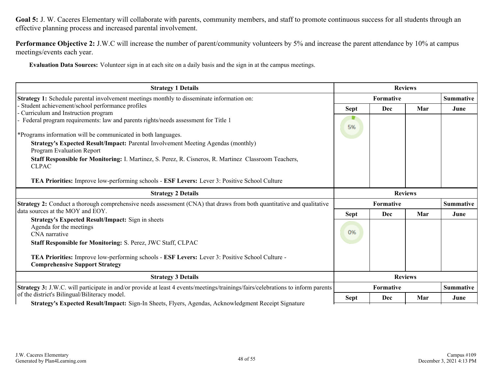Goal 5: J. W. Caceres Elementary will collaborate with parents, community members, and staff to promote continuous success for all students through an effective planning process and increased parental involvement.

**Performance Objective 2:** J.W.C will increase the number of parent/community volunteers by 5% and increase the parent attendance by 10% at campus meetings/events each year.

**Evaluation Data Sources:** Volunteer sign in at each site on a daily basis and the sign in at the campus meetings.

| <b>Strategy 1 Details</b>                                                                                                                                            | <b>Reviews</b> |            |     |                  |
|----------------------------------------------------------------------------------------------------------------------------------------------------------------------|----------------|------------|-----|------------------|
| Strategy 1: Schedule parental involvement meetings monthly to disseminate information on:                                                                            | Formative      |            |     | <b>Summative</b> |
| Student achievement/school performance profiles                                                                                                                      | <b>Sept</b>    | Dec        | Mar | June             |
| - Curriculum and Instruction program                                                                                                                                 |                |            |     |                  |
| - Federal program requirements: law and parents rights/needs assessment for Title 1                                                                                  | 5%             |            |     |                  |
| *Programs information will be communicated in both languages.                                                                                                        |                |            |     |                  |
| Strategy's Expected Result/Impact: Parental Involvement Meeting Agendas (monthly)<br><b>Program Evaluation Report</b>                                                |                |            |     |                  |
| <b>Staff Responsible for Monitoring:</b> I. Martinez, S. Perez, R. Cisneros, R. Martinez Classroom Teachers,<br><b>CLPAC</b>                                         |                |            |     |                  |
| TEA Priorities: Improve low-performing schools - ESF Levers: Lever 3: Positive School Culture                                                                        |                |            |     |                  |
| <b>Strategy 2 Details</b>                                                                                                                                            | <b>Reviews</b> |            |     |                  |
| <b>Strategy 2:</b> Conduct a thorough comprehensive needs assessment (CNA) that draws from both quantitative and qualitative                                         |                | Formative  |     | <b>Summative</b> |
| data sources at the MOY and EOY.                                                                                                                                     | <b>Sept</b>    | Dec        | Mar | June             |
| <b>Strategy's Expected Result/Impact:</b> Sign in sheets<br>Agenda for the meetings<br>CNA narrative<br>Staff Responsible for Monitoring: S. Perez, JWC Staff, CLPAC | 0%             |            |     |                  |
| TEA Priorities: Improve low-performing schools - ESF Levers: Lever 3: Positive School Culture -<br><b>Comprehensive Support Strategy</b>                             |                |            |     |                  |
| <b>Strategy 3 Details</b>                                                                                                                                            | <b>Reviews</b> |            |     |                  |
| <b>Strategy 3:</b> J.W.C. will participate in and/or provide at least 4 events/meetings/trainings/fairs/celebrations to inform parents                               |                | Formative  |     | <b>Summative</b> |
| of the district's Bilingual/Biliteracy model.<br>Strategy's Expected Result/Impact: Sign-In Sheets, Flyers, Agendas, Acknowledgment Receipt Signature                | <b>Sept</b>    | <b>Dec</b> | Mar | June             |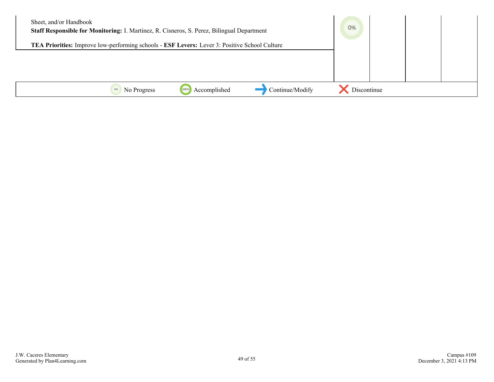| Sheet, and/or Handbook<br>Staff Responsible for Monitoring: I. Martinez, R. Cisneros, S. Perez, Bilingual Department | 0%          |  |
|----------------------------------------------------------------------------------------------------------------------|-------------|--|
| TEA Priorities: Improve low-performing schools - ESF Levers: Lever 3: Positive School Culture                        |             |  |
|                                                                                                                      |             |  |
|                                                                                                                      |             |  |
|                                                                                                                      |             |  |
| Continue/Modify<br>Accomplished<br>No Progress<br>0%                                                                 | Discontinue |  |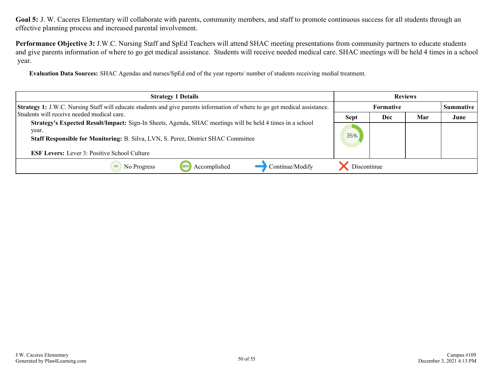Goal 5: J. W. Caceres Elementary will collaborate with parents, community members, and staff to promote continuous success for all students through an effective planning process and increased parental involvement.

**Performance Objective 3:** J.W.C. Nursing Staff and SpEd Teachers will attend SHAC meeting presentations from community partners to educate students and give parents information of where to go get medical assistance. Students will receive needed medical care. SHAC meetings will be held 4 times in a school year.

**Evaluation Data Sources:** SHAC Agendas and nurses/SpEd end of the year reports/ number of students receiving medial treatment.

| <b>Strategy 1 Details</b>                                                                                                                                                                                                                                              | <b>Reviews</b> |                  |     |           |
|------------------------------------------------------------------------------------------------------------------------------------------------------------------------------------------------------------------------------------------------------------------------|----------------|------------------|-----|-----------|
| <b>Strategy 1:</b> J.W.C. Nursing Staff will educate students and give parents information of where to go get medical assistance.                                                                                                                                      |                | <b>Formative</b> |     | Summative |
| Students will receive needed medical care.                                                                                                                                                                                                                             | <b>Sept</b>    | <b>Dec</b>       | Mar | June      |
| Strategy's Expected Result/Impact: Sign-In Sheets, Agenda, SHAC meetings will be held 4 times in a school<br>year.<br><b>Staff Responsible for Monitoring: B. Silva, LVN, S. Perez, District SHAC Committee</b><br><b>ESF Levers:</b> Lever 3: Positive School Culture | 35%            |                  |     |           |
| Continue/Modify<br>Accomplished<br>No Progress                                                                                                                                                                                                                         | Discontinue    |                  |     |           |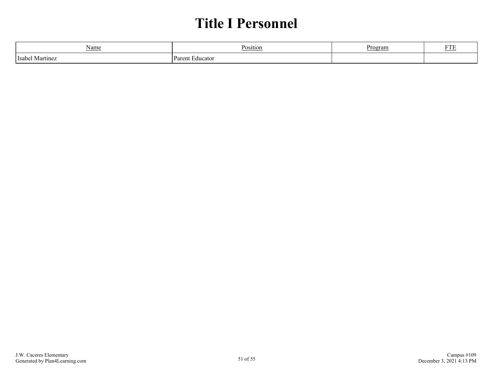# **Title I Personnel**

<span id="page-50-0"></span>

| Name<br>_______        | Position          | Progran | --- |
|------------------------|-------------------|---------|-----|
| l Isabel<br>l Martinez | Paren<br>Educator |         |     |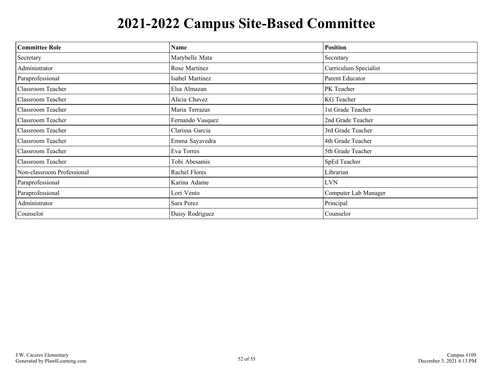# **2021-2022 Campus Site-Based Committee**

<span id="page-51-0"></span>

| <b>Committee Role</b>      | <b>Name</b>      | <b>Position</b>       |  |
|----------------------------|------------------|-----------------------|--|
| Secretary                  | Marybelle Mata   | Secretary             |  |
| Administrator              | Rose Martinez    | Curriculum Specialist |  |
| Paraprofessional           | Isabel Martinez  | Parent Educator       |  |
| Classroom Teacher          | Elsa Almazan     | PK Teacher            |  |
| Classroom Teacher          | Alicia Chavez    | KG Teacher            |  |
| Classroom Teacher          | Maria Terrazas   | 1st Grade Teacher     |  |
| Classroom Teacher          | Fernando Vasquez | 2nd Grade Teacher     |  |
| Classroom Teacher          | Clarissa Garcia  | 3rd Grade Teacher     |  |
| Classroom Teacher          | Emma Sayavedra   | 4th Grade Teacher     |  |
| Classroom Teacher          | Eva Torres       | 5th Grade Teacher     |  |
| Classroom Teacher          | Tobi Abesamis    | SpEd Teacher          |  |
| Non-classroom Professional | Rachel Flores    | Librarian             |  |
| Paraprofessional           | Karina Adame     | <b>LVN</b>            |  |
| Paraprofessional           | Lori Vento       | Computer Lab Manager  |  |
| Administrator              | Sara Perez       | Principal             |  |
| Counselor                  | Daisy Rodriguez  | Counselor             |  |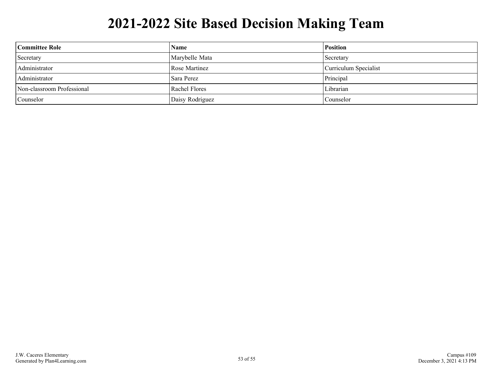# **2021-2022 Site Based Decision Making Team**

<span id="page-52-0"></span>

| Committee Role             | <b>Name</b>          | <b>Position</b>       |
|----------------------------|----------------------|-----------------------|
| Secretary                  | Marybelle Mata       | Secretary             |
| Administrator              | Rose Martinez        | Curriculum Specialist |
| Administrator              | Sara Perez           | Principal             |
| Non-classroom Professional | <b>Rachel Flores</b> | Librarian             |
| Counselor                  | Daisy Rodriguez      | Counselor             |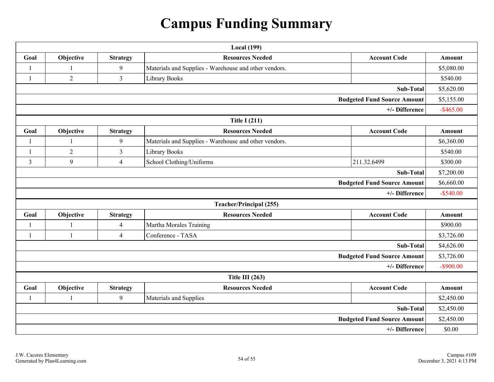# **Campus Funding Summary**

<span id="page-53-0"></span>

|                                    | <b>Local</b> (199) |                 |                                                       |                                    |              |
|------------------------------------|--------------------|-----------------|-------------------------------------------------------|------------------------------------|--------------|
| Goal                               | Objective          | <b>Strategy</b> | <b>Resources Needed</b>                               | <b>Account Code</b>                | Amount       |
| $\mathbf{1}$                       | 1                  | 9               | Materials and Supplies - Warehouse and other vendors. |                                    | \$5,080.00   |
| $\mathbf{1}$                       | $\overline{2}$     | $\overline{3}$  | Library Books                                         |                                    | \$540.00     |
|                                    |                    |                 |                                                       | Sub-Total                          | \$5,620.00   |
|                                    |                    |                 |                                                       | <b>Budgeted Fund Source Amount</b> | \$5,155.00   |
|                                    |                    |                 |                                                       | +/- Difference                     | $-$ \$465.00 |
|                                    |                    |                 | <b>Title I (211)</b>                                  |                                    |              |
| Goal                               | Objective          | <b>Strategy</b> | <b>Resources Needed</b>                               | <b>Account Code</b>                | Amount       |
| $\mathbf{1}$                       |                    | 9               | Materials and Supplies - Warehouse and other vendors. |                                    | \$6,360.00   |
| 1                                  | $\overline{2}$     | $\overline{3}$  | Library Books                                         |                                    | \$540.00     |
| 3                                  | 9                  | $\overline{4}$  | School Clothing/Uniforms                              | 211.32.6499                        | \$300.00     |
| Sub-Total                          |                    |                 | \$7,200.00                                            |                                    |              |
| <b>Budgeted Fund Source Amount</b> |                    |                 | \$6,660.00                                            |                                    |              |
| +/- Difference                     |                    |                 | $-$ \$540.00                                          |                                    |              |
|                                    |                    |                 | <b>Teacher/Principal (255)</b>                        |                                    |              |
| Goal                               | Objective          | <b>Strategy</b> | <b>Resources Needed</b>                               | <b>Account Code</b>                | Amount       |
| 1                                  |                    | $\overline{4}$  | Martha Morales Training                               |                                    | \$900.00     |
| $\mathbf{1}$                       | $\mathbf{1}$       | $\overline{4}$  | Conference - TASA                                     |                                    | \$3,726.00   |
| Sub-Total                          |                    |                 |                                                       | \$4,626.00                         |              |
|                                    |                    |                 |                                                       | <b>Budgeted Fund Source Amount</b> | \$3,726.00   |
| +/- Difference                     |                    |                 | $-$ \$900.00                                          |                                    |              |
| Title III $(263)$                  |                    |                 |                                                       |                                    |              |
| Goal                               | Objective          | <b>Strategy</b> | <b>Resources Needed</b>                               | <b>Account Code</b>                | Amount       |
| 1                                  |                    | 9               | Materials and Supplies                                |                                    | \$2,450.00   |
| Sub-Total                          |                    | \$2,450.00      |                                                       |                                    |              |
| <b>Budgeted Fund Source Amount</b> |                    |                 | \$2,450.00                                            |                                    |              |
| +/- Difference                     |                    |                 |                                                       | \$0.00                             |              |